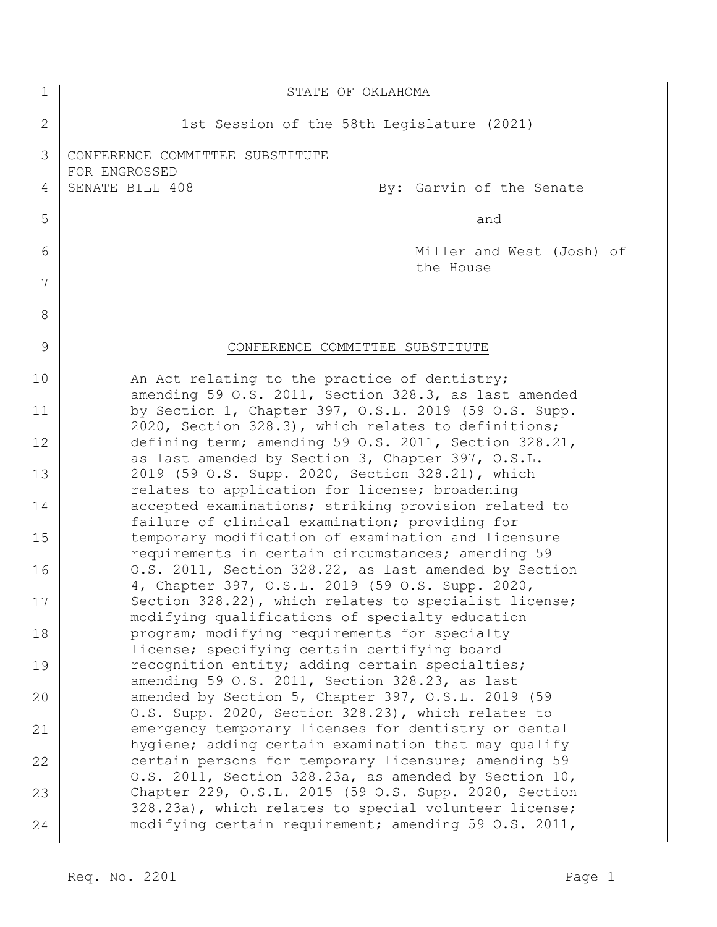| 1              | STATE OF OKLAHOMA                                                                                              |
|----------------|----------------------------------------------------------------------------------------------------------------|
| $\overline{2}$ | 1st Session of the 58th Legislature (2021)                                                                     |
| 3              | CONFERENCE COMMITTEE SUBSTITUTE                                                                                |
| 4              | FOR ENGROSSED<br>SENATE BILL 408<br>By: Garvin of the Senate                                                   |
| 5              | and                                                                                                            |
| 6              | Miller and West (Josh) of<br>the House                                                                         |
| 7              |                                                                                                                |
| 8              |                                                                                                                |
| 9              | CONFERENCE COMMITTEE SUBSTITUTE                                                                                |
| 10             | An Act relating to the practice of dentistry;<br>amending 59 O.S. 2011, Section 328.3, as last amended         |
| 11             | by Section 1, Chapter 397, O.S.L. 2019 (59 O.S. Supp.<br>2020, Section 328.3), which relates to definitions;   |
| 12             | defining term; amending 59 O.S. 2011, Section 328.21,<br>as last amended by Section 3, Chapter 397, O.S.L.     |
| 13             | 2019 (59 O.S. Supp. 2020, Section 328.21), which<br>relates to application for license; broadening             |
| 14             | accepted examinations; striking provision related to<br>failure of clinical examination; providing for         |
| 15             | temporary modification of examination and licensure<br>requirements in certain circumstances; amending 59      |
| 16             | O.S. 2011, Section 328.22, as last amended by Section<br>4, Chapter 397, O.S.L. 2019 (59 O.S. Supp. 2020,      |
| 17             | Section 328.22), which relates to specialist license;<br>modifying qualifications of specialty education       |
| 18             | program; modifying requirements for specialty<br>license; specifying certain certifying board                  |
| 19             | recognition entity; adding certain specialties;<br>amending 59 O.S. 2011, Section 328.23, as last              |
| 20             | amended by Section 5, Chapter 397, O.S.L. 2019 (59<br>O.S. Supp. 2020, Section 328.23), which relates to       |
| 21             | emergency temporary licenses for dentistry or dental<br>hygiene; adding certain examination that may qualify   |
| 22             | certain persons for temporary licensure; amending 59<br>0.S. 2011, Section 328.23a, as amended by Section 10,  |
| 23             | Chapter 229, O.S.L. 2015 (59 O.S. Supp. 2020, Section<br>328.23a), which relates to special volunteer license; |
| 24             | modifying certain requirement; amending 59 O.S. 2011,                                                          |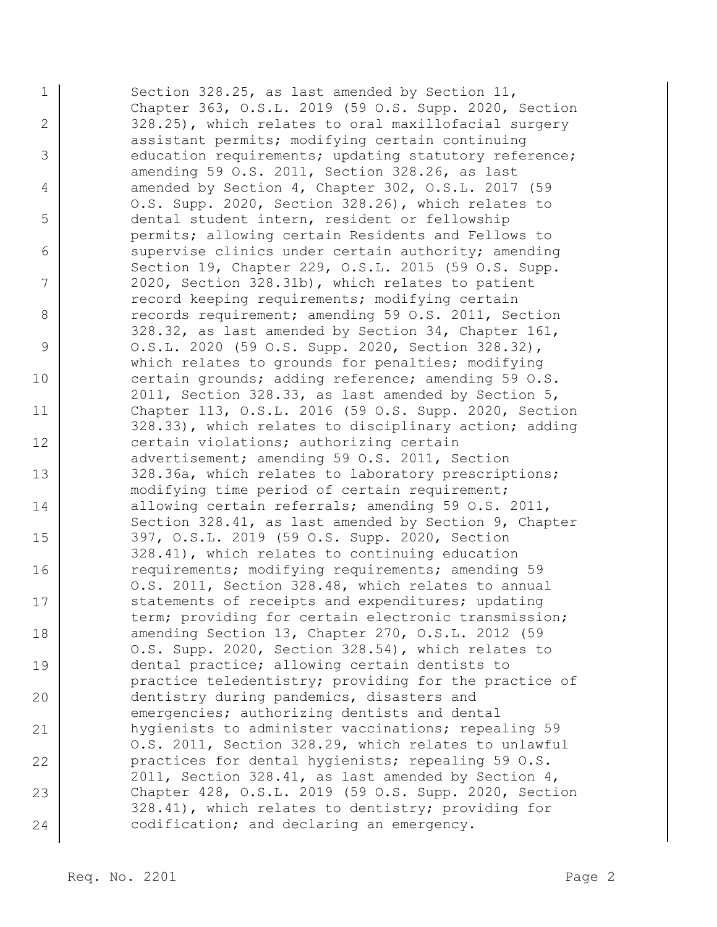1 2 3 4 5 6 7 8 9 10 11 12 13 14 15 16 17 18 19 20 21 22 23 24 Section 328.25, as last amended by Section 11, Chapter 363, O.S.L. 2019 (59 O.S. Supp. 2020, Section 328.25), which relates to oral maxillofacial surgery assistant permits; modifying certain continuing education requirements; updating statutory reference; amending 59 O.S. 2011, Section 328.26, as last amended by Section 4, Chapter 302, O.S.L. 2017 (59 O.S. Supp. 2020, Section 328.26), which relates to dental student intern, resident or fellowship permits; allowing certain Residents and Fellows to supervise clinics under certain authority; amending Section 19, Chapter 229, O.S.L. 2015 (59 O.S. Supp. 2020, Section 328.31b), which relates to patient record keeping requirements; modifying certain records requirement; amending 59 O.S. 2011, Section 328.32, as last amended by Section 34, Chapter 161, O.S.L. 2020 (59 O.S. Supp. 2020, Section 328.32), which relates to grounds for penalties; modifying certain grounds; adding reference; amending 59 O.S. 2011, Section 328.33, as last amended by Section 5, Chapter 113, O.S.L. 2016 (59 O.S. Supp. 2020, Section 328.33), which relates to disciplinary action; adding certain violations; authorizing certain advertisement; amending 59 O.S. 2011, Section 328.36a, which relates to laboratory prescriptions; modifying time period of certain requirement; allowing certain referrals; amending 59 O.S. 2011, Section 328.41, as last amended by Section 9, Chapter 397, O.S.L. 2019 (59 O.S. Supp. 2020, Section 328.41), which relates to continuing education requirements; modifying requirements; amending 59 O.S. 2011, Section 328.48, which relates to annual statements of receipts and expenditures; updating term; providing for certain electronic transmission; amending Section 13, Chapter 270, O.S.L. 2012 (59 O.S. Supp. 2020, Section 328.54), which relates to dental practice; allowing certain dentists to practice teledentistry; providing for the practice of dentistry during pandemics, disasters and emergencies; authorizing dentists and dental hygienists to administer vaccinations; repealing 59 O.S. 2011, Section 328.29, which relates to unlawful practices for dental hygienists; repealing 59 O.S. 2011, Section 328.41, as last amended by Section 4, Chapter 428, O.S.L. 2019 (59 O.S. Supp. 2020, Section 328.41), which relates to dentistry; providing for codification; and declaring an emergency.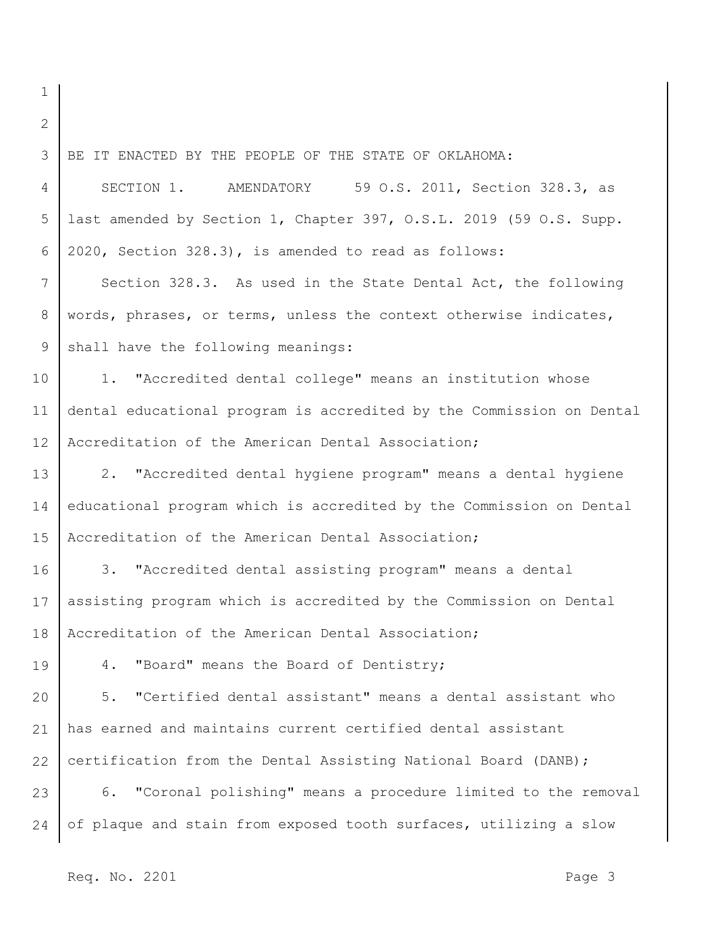1

2 3 4 5 6 7 8 9 10 11 12 13 14 15 16 17 18 19 20 21 22 23 24 BE IT ENACTED BY THE PEOPLE OF THE STATE OF OKLAHOMA: SECTION 1. AMENDATORY 59 O.S. 2011, Section 328.3, as last amended by Section 1, Chapter 397, O.S.L. 2019 (59 O.S. Supp. 2020, Section 328.3), is amended to read as follows: Section 328.3. As used in the State Dental Act, the following words, phrases, or terms, unless the context otherwise indicates, shall have the following meanings: 1. "Accredited dental college" means an institution whose dental educational program is accredited by the Commission on Dental Accreditation of the American Dental Association; 2. "Accredited dental hygiene program" means a dental hygiene educational program which is accredited by the Commission on Dental Accreditation of the American Dental Association; 3. "Accredited dental assisting program" means a dental assisting program which is accredited by the Commission on Dental Accreditation of the American Dental Association; 4. "Board" means the Board of Dentistry; 5. "Certified dental assistant" means a dental assistant who has earned and maintains current certified dental assistant certification from the Dental Assisting National Board (DANB); 6. "Coronal polishing" means a procedure limited to the removal of plaque and stain from exposed tooth surfaces, utilizing a slow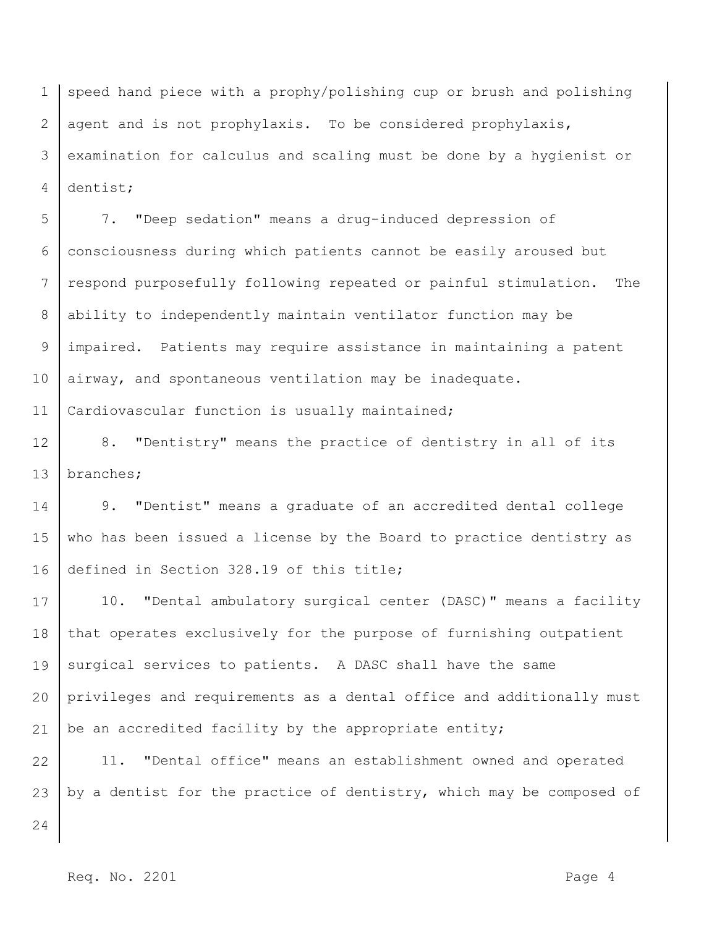1 2 3 4 speed hand piece with a prophy/polishing cup or brush and polishing agent and is not prophylaxis. To be considered prophylaxis, examination for calculus and scaling must be done by a hygienist or dentist;

5 6 7 8 9 10 11 7. "Deep sedation" means a drug-induced depression of consciousness during which patients cannot be easily aroused but respond purposefully following repeated or painful stimulation. The ability to independently maintain ventilator function may be impaired. Patients may require assistance in maintaining a patent airway, and spontaneous ventilation may be inadequate. Cardiovascular function is usually maintained;

12 13 8. "Dentistry" means the practice of dentistry in all of its branches;

14 15 16 9. "Dentist" means a graduate of an accredited dental college who has been issued a license by the Board to practice dentistry as defined in Section 328.19 of this title;

17 18 19 20 21 10. "Dental ambulatory surgical center (DASC)" means a facility that operates exclusively for the purpose of furnishing outpatient surgical services to patients. A DASC shall have the same privileges and requirements as a dental office and additionally must be an accredited facility by the appropriate entity;

22 23 11. "Dental office" means an establishment owned and operated by a dentist for the practice of dentistry, which may be composed of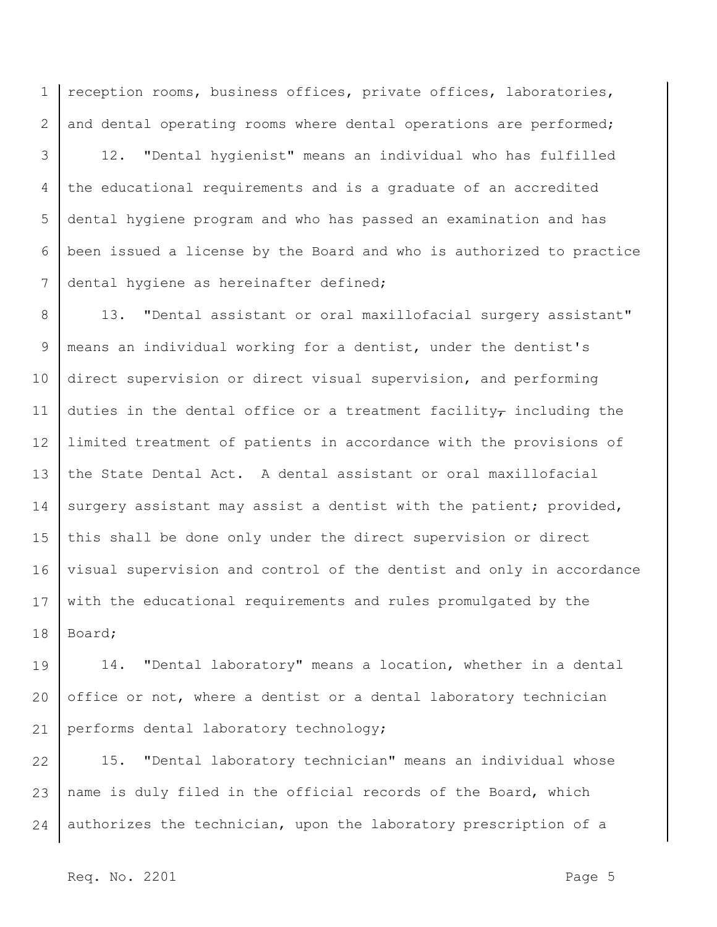1 2 reception rooms, business offices, private offices, laboratories, and dental operating rooms where dental operations are performed;

3 4 5 6 7 12. "Dental hygienist" means an individual who has fulfilled the educational requirements and is a graduate of an accredited dental hygiene program and who has passed an examination and has been issued a license by the Board and who is authorized to practice dental hygiene as hereinafter defined;

8 9 10 11 12 13 14 15 16 17 18 13. "Dental assistant or oral maxillofacial surgery assistant" means an individual working for a dentist, under the dentist's direct supervision or direct visual supervision, and performing duties in the dental office or a treatment facility- including the limited treatment of patients in accordance with the provisions of the State Dental Act. A dental assistant or oral maxillofacial surgery assistant may assist a dentist with the patient; provided, this shall be done only under the direct supervision or direct visual supervision and control of the dentist and only in accordance with the educational requirements and rules promulgated by the Board;

19 20 21 14. "Dental laboratory" means a location, whether in a dental office or not, where a dentist or a dental laboratory technician performs dental laboratory technology;

22 23 24 15. "Dental laboratory technician" means an individual whose name is duly filed in the official records of the Board, which authorizes the technician, upon the laboratory prescription of a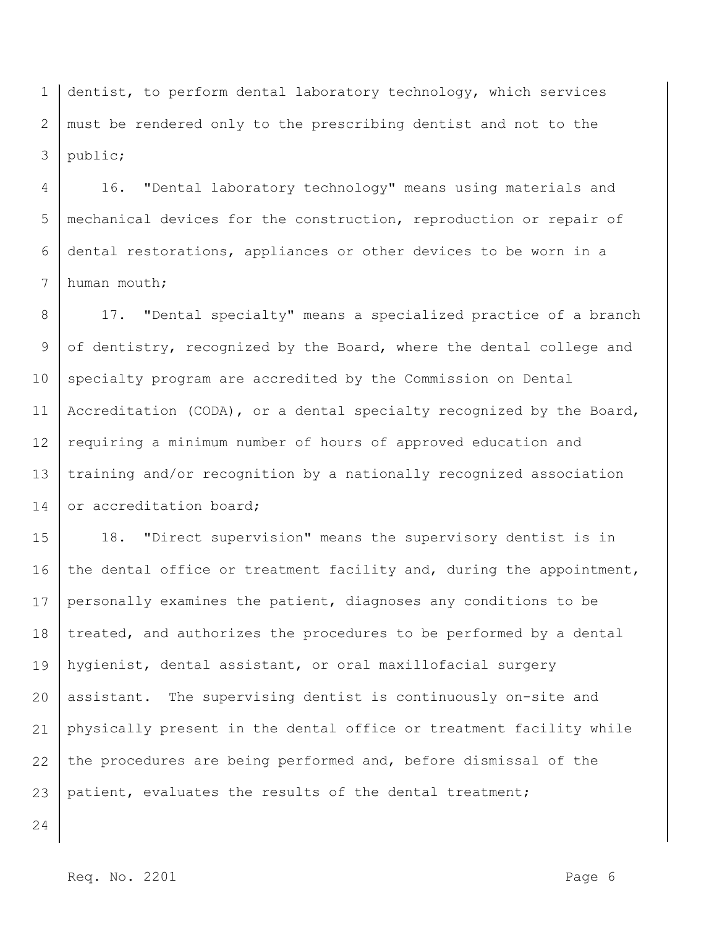1 2 3 dentist, to perform dental laboratory technology, which services must be rendered only to the prescribing dentist and not to the public;

4 5 6 7 16. "Dental laboratory technology" means using materials and mechanical devices for the construction, reproduction or repair of dental restorations, appliances or other devices to be worn in a human mouth;

8 9 10 11 12 13 14 17. "Dental specialty" means a specialized practice of a branch of dentistry, recognized by the Board, where the dental college and specialty program are accredited by the Commission on Dental Accreditation (CODA), or a dental specialty recognized by the Board, requiring a minimum number of hours of approved education and training and/or recognition by a nationally recognized association or accreditation board;

15 16 17 18 19 20 21 22 23 18. "Direct supervision" means the supervisory dentist is in the dental office or treatment facility and, during the appointment, personally examines the patient, diagnoses any conditions to be treated, and authorizes the procedures to be performed by a dental hygienist, dental assistant, or oral maxillofacial surgery assistant. The supervising dentist is continuously on-site and physically present in the dental office or treatment facility while the procedures are being performed and, before dismissal of the patient, evaluates the results of the dental treatment;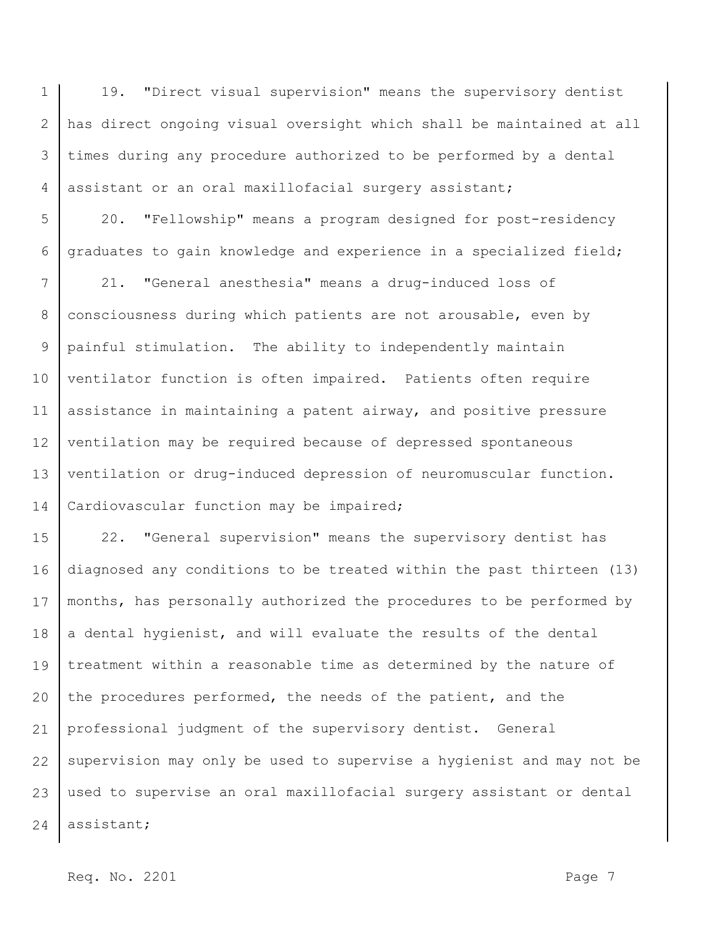1 2 3 4 19. "Direct visual supervision" means the supervisory dentist has direct ongoing visual oversight which shall be maintained at all times during any procedure authorized to be performed by a dental assistant or an oral maxillofacial surgery assistant;

5 6 20. "Fellowship" means a program designed for post-residency graduates to gain knowledge and experience in a specialized field;

7 8 9 10 11 12 13 14 21. "General anesthesia" means a drug-induced loss of consciousness during which patients are not arousable, even by painful stimulation. The ability to independently maintain ventilator function is often impaired. Patients often require assistance in maintaining a patent airway, and positive pressure ventilation may be required because of depressed spontaneous ventilation or drug-induced depression of neuromuscular function. Cardiovascular function may be impaired;

15 16 17 18 19 20 21 22 23 24 22. "General supervision" means the supervisory dentist has diagnosed any conditions to be treated within the past thirteen (13) months, has personally authorized the procedures to be performed by a dental hygienist, and will evaluate the results of the dental treatment within a reasonable time as determined by the nature of the procedures performed, the needs of the patient, and the professional judgment of the supervisory dentist. General supervision may only be used to supervise a hygienist and may not be used to supervise an oral maxillofacial surgery assistant or dental assistant;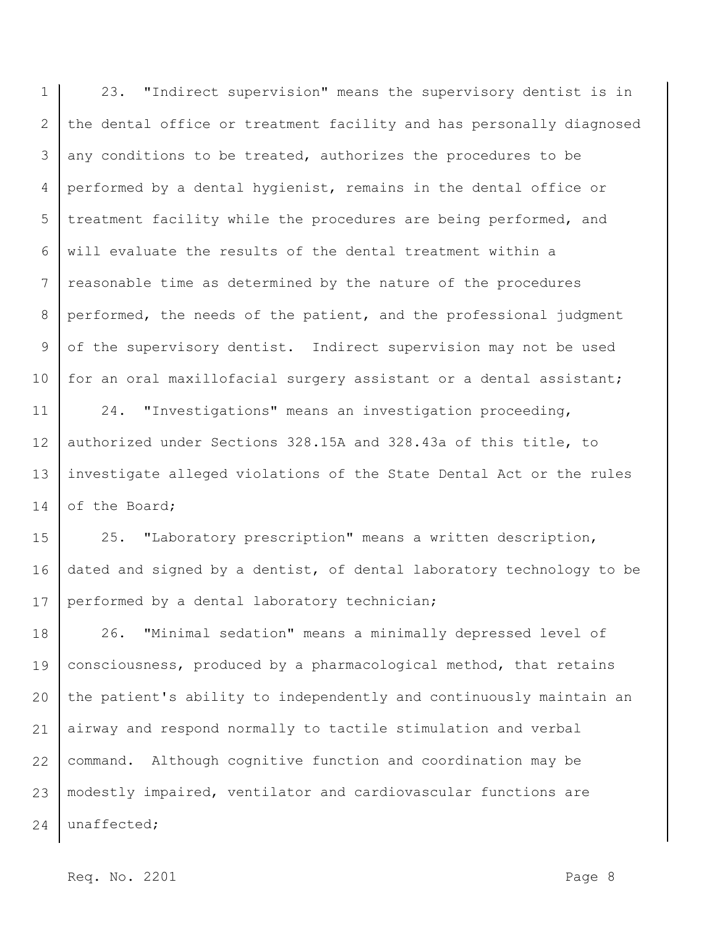1 2 3 4 5 6 7 8 9 10 23. "Indirect supervision" means the supervisory dentist is in the dental office or treatment facility and has personally diagnosed any conditions to be treated, authorizes the procedures to be performed by a dental hygienist, remains in the dental office or treatment facility while the procedures are being performed, and will evaluate the results of the dental treatment within a reasonable time as determined by the nature of the procedures performed, the needs of the patient, and the professional judgment of the supervisory dentist. Indirect supervision may not be used for an oral maxillofacial surgery assistant or a dental assistant;

11 12 13 14 24. "Investigations" means an investigation proceeding, authorized under Sections 328.15A and 328.43a of this title, to investigate alleged violations of the State Dental Act or the rules of the Board;

15 16 17 25. "Laboratory prescription" means a written description, dated and signed by a dentist, of dental laboratory technology to be performed by a dental laboratory technician;

18 19 20 21 22 23 24 26. "Minimal sedation" means a minimally depressed level of consciousness, produced by a pharmacological method, that retains the patient's ability to independently and continuously maintain an airway and respond normally to tactile stimulation and verbal command. Although cognitive function and coordination may be modestly impaired, ventilator and cardiovascular functions are unaffected;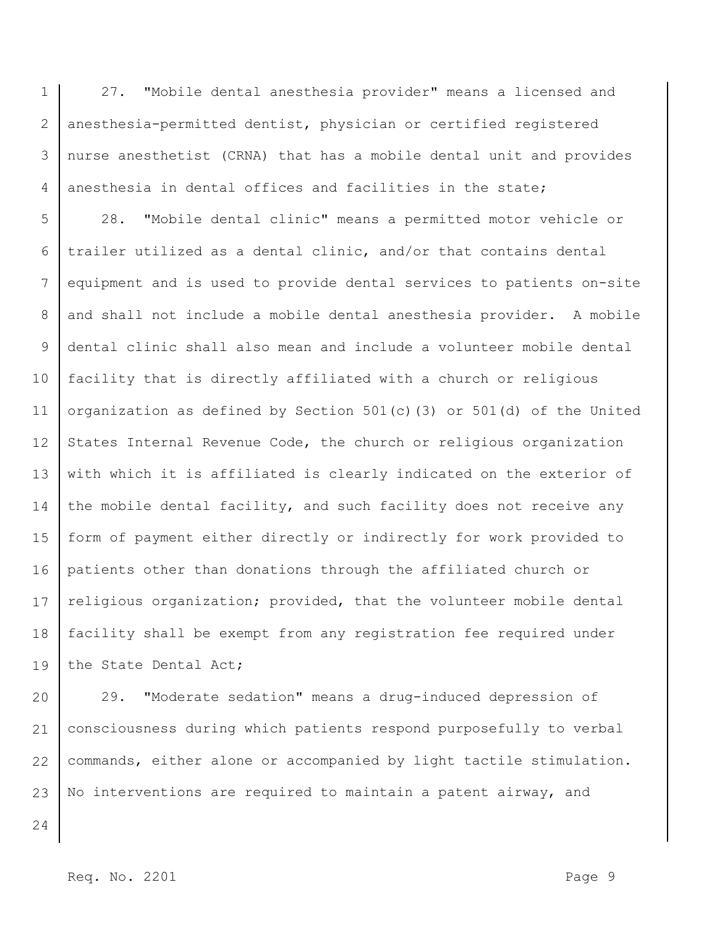1 2 3 4 27. "Mobile dental anesthesia provider" means a licensed and anesthesia-permitted dentist, physician or certified registered nurse anesthetist (CRNA) that has a mobile dental unit and provides anesthesia in dental offices and facilities in the state;

5 6 7 8 9 10 11 12 13 14 15 16 17 18 19 28. "Mobile dental clinic" means a permitted motor vehicle or trailer utilized as a dental clinic, and/or that contains dental equipment and is used to provide dental services to patients on-site and shall not include a mobile dental anesthesia provider. A mobile dental clinic shall also mean and include a volunteer mobile dental facility that is directly affiliated with a church or religious organization as defined by Section 501(c)(3) or 501(d) of the United States Internal Revenue Code, the church or religious organization with which it is affiliated is clearly indicated on the exterior of the mobile dental facility, and such facility does not receive any form of payment either directly or indirectly for work provided to patients other than donations through the affiliated church or religious organization; provided, that the volunteer mobile dental facility shall be exempt from any registration fee required under the State Dental Act;

20 21 22 23 29. "Moderate sedation" means a drug-induced depression of consciousness during which patients respond purposefully to verbal commands, either alone or accompanied by light tactile stimulation. No interventions are required to maintain a patent airway, and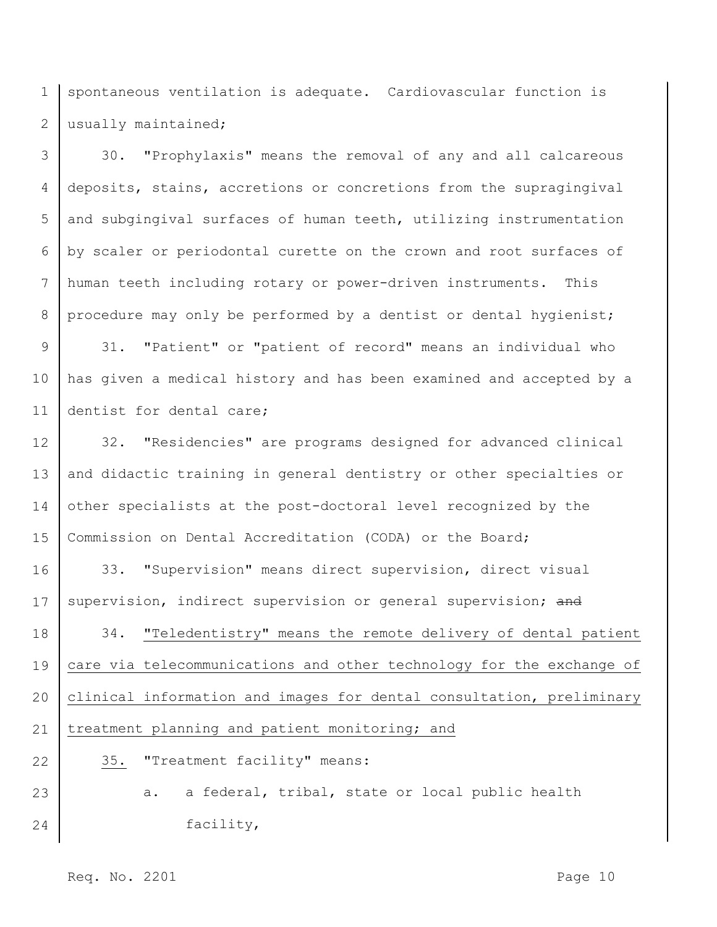1 2 spontaneous ventilation is adequate. Cardiovascular function is usually maintained;

3 4 5 6 7 8 30. "Prophylaxis" means the removal of any and all calcareous deposits, stains, accretions or concretions from the supragingival and subgingival surfaces of human teeth, utilizing instrumentation by scaler or periodontal curette on the crown and root surfaces of human teeth including rotary or power-driven instruments. This procedure may only be performed by a dentist or dental hygienist;

9 10 11 31. "Patient" or "patient of record" means an individual who has given a medical history and has been examined and accepted by a dentist for dental care;

12 13 14 15 32. "Residencies" are programs designed for advanced clinical and didactic training in general dentistry or other specialties or other specialists at the post-doctoral level recognized by the Commission on Dental Accreditation (CODA) or the Board;

16 17 18 19 20 33. "Supervision" means direct supervision, direct visual supervision, indirect supervision or general supervision; and 34. "Teledentistry" means the remote delivery of dental patient care via telecommunications and other technology for the exchange of clinical information and images for dental consultation, preliminary

21 treatment planning and patient monitoring; and

35. "Treatment facility" means:

## 23 24 a. a federal, tribal, state or local public health facility,

Req. No. 2201 **Page 10**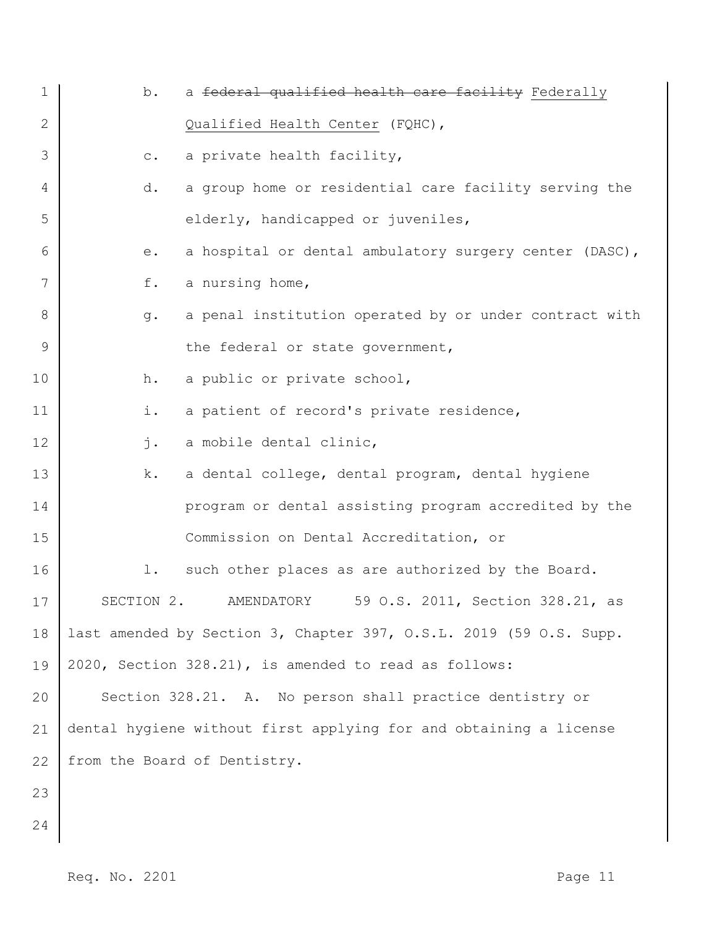| $\mathbf 1$  | b.             | a federal qualified health care facility Federally                 |
|--------------|----------------|--------------------------------------------------------------------|
| $\mathbf{2}$ |                | Qualified Health Center (FQHC),                                    |
| 3            | $\mathtt{C}$ . | a private health facility,                                         |
| 4            | d.             | a group home or residential care facility serving the              |
| 5            |                | elderly, handicapped or juveniles,                                 |
| 6            | е.             | a hospital or dental ambulatory surgery center (DASC),             |
| 7            | f.             | a nursing home,                                                    |
| 8            | $g$ .          | a penal institution operated by or under contract with             |
| 9            |                | the federal or state government,                                   |
| 10           | h.             | a public or private school,                                        |
| 11           | i.             | a patient of record's private residence,                           |
| 12           | $\mathbf{j}$ . | a mobile dental clinic,                                            |
| 13           | k.             | a dental college, dental program, dental hygiene                   |
| 14           |                | program or dental assisting program accredited by the              |
| 15           |                | Commission on Dental Accreditation, or                             |
| 16           | 1.             | such other places as are authorized by the Board.                  |
| 17           | SECTION 2.     | 59 O.S. 2011, Section 328.21, as<br>AMENDATORY                     |
| 18           |                | last amended by Section 3, Chapter 397, O.S.L. 2019 (59 O.S. Supp. |
| 19           |                | 2020, Section 328.21), is amended to read as follows:              |
| 20           |                | Section 328.21. A. No person shall practice dentistry or           |
| 21           |                | dental hygiene without first applying for and obtaining a license  |
| 22           |                | from the Board of Dentistry.                                       |
| 23           |                |                                                                    |
| 24           |                |                                                                    |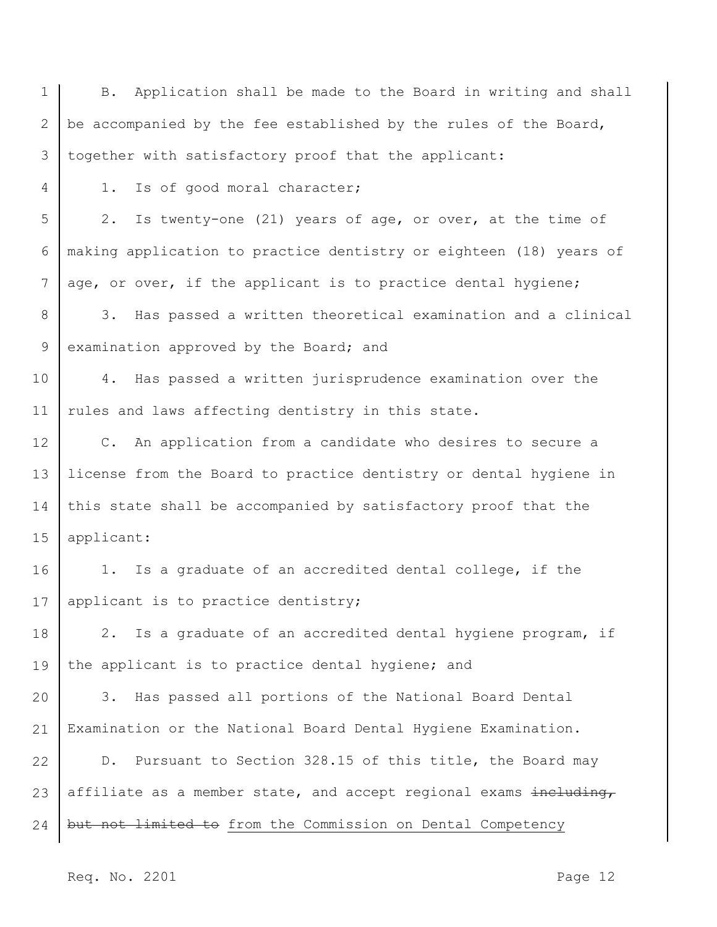1 2 3 4 5 6 7 8 9 10 11 12 13 14 15 16 17 18 19 20 21 22 23 24 B. Application shall be made to the Board in writing and shall be accompanied by the fee established by the rules of the Board, together with satisfactory proof that the applicant: 1. Is of good moral character; 2. Is twenty-one (21) years of age, or over, at the time of making application to practice dentistry or eighteen (18) years of age, or over, if the applicant is to practice dental hygiene; 3. Has passed a written theoretical examination and a clinical examination approved by the Board; and 4. Has passed a written jurisprudence examination over the rules and laws affecting dentistry in this state. C. An application from a candidate who desires to secure a license from the Board to practice dentistry or dental hygiene in this state shall be accompanied by satisfactory proof that the applicant: 1. Is a graduate of an accredited dental college, if the applicant is to practice dentistry; 2. Is a graduate of an accredited dental hygiene program, if the applicant is to practice dental hygiene; and 3. Has passed all portions of the National Board Dental Examination or the National Board Dental Hygiene Examination. D. Pursuant to Section 328.15 of this title, the Board may affiliate as a member state, and accept regional exams including, but not limited to from the Commission on Dental Competency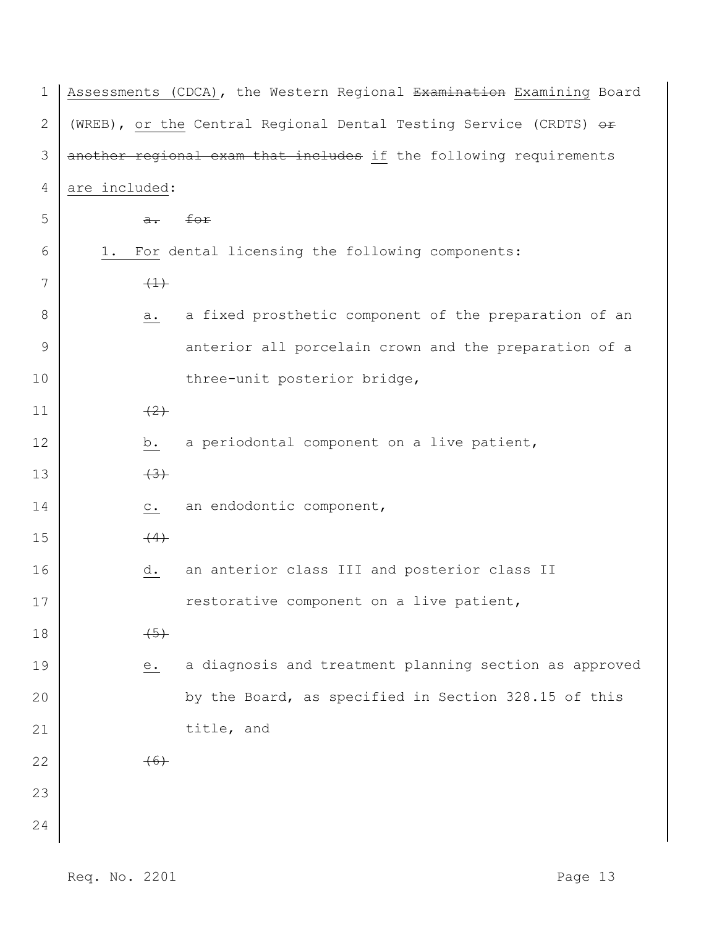| 1              | Assessments (CDCA), the Western Regional Examination Examining Board |  |  |  |  |  |  |  |  |
|----------------|----------------------------------------------------------------------|--|--|--|--|--|--|--|--|
| $\mathbf{2}$   | (WREB), or the Central Regional Dental Testing Service (CRDTS) or    |  |  |  |  |  |  |  |  |
| 3              | another regional exam that includes if the following requirements    |  |  |  |  |  |  |  |  |
| $\overline{4}$ | are included:                                                        |  |  |  |  |  |  |  |  |
| 5              | for<br>$a -$                                                         |  |  |  |  |  |  |  |  |
| 6              | For dental licensing the following components:<br>1.                 |  |  |  |  |  |  |  |  |
| 7              | $\left(\frac{1}{2}\right)$                                           |  |  |  |  |  |  |  |  |
| 8              | a fixed prosthetic component of the preparation of an<br>а.          |  |  |  |  |  |  |  |  |
| 9              | anterior all porcelain crown and the preparation of a                |  |  |  |  |  |  |  |  |
| 10             | three-unit posterior bridge,                                         |  |  |  |  |  |  |  |  |
| 11             | (2)                                                                  |  |  |  |  |  |  |  |  |
| 12             | a periodontal component on a live patient,<br>b.                     |  |  |  |  |  |  |  |  |
| 13             | $+3+$                                                                |  |  |  |  |  |  |  |  |
| 14             | an endodontic component,<br>$\circ$ .                                |  |  |  |  |  |  |  |  |
| 15             | (4)                                                                  |  |  |  |  |  |  |  |  |
| 16             | an anterior class III and posterior class II<br>d.                   |  |  |  |  |  |  |  |  |
| 17             | restorative component on a live patient,                             |  |  |  |  |  |  |  |  |
| 18             | $\leftarrow$                                                         |  |  |  |  |  |  |  |  |
| 19             | a diagnosis and treatment planning section as approved<br>е.         |  |  |  |  |  |  |  |  |
| 20             | by the Board, as specified in Section 328.15 of this                 |  |  |  |  |  |  |  |  |
| 21             | title, and                                                           |  |  |  |  |  |  |  |  |
| 22             | (6)                                                                  |  |  |  |  |  |  |  |  |
| 23             |                                                                      |  |  |  |  |  |  |  |  |
| 24             |                                                                      |  |  |  |  |  |  |  |  |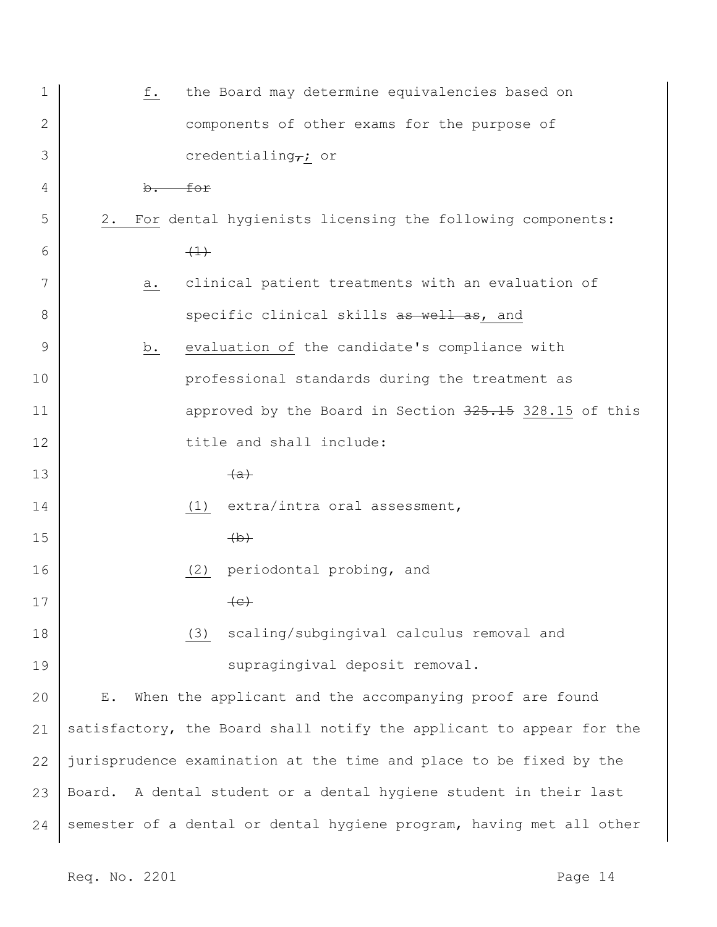| the Board may determine equivalencies based on<br>f.                 |
|----------------------------------------------------------------------|
| components of other exams for the purpose of                         |
| credentialing $\tau$ ; or                                            |
| b. for                                                               |
| For dental hygienists licensing the following components:<br>2.      |
| $\leftarrow$                                                         |
| clinical patient treatments with an evaluation of<br>a.              |
| specific clinical skills as well as, and                             |
| evaluation of the candidate's compliance with<br>b.                  |
| professional standards during the treatment as                       |
| approved by the Board in Section 325.15 328.15 of this               |
| title and shall include:                                             |
| (a)                                                                  |
| extra/intra oral assessment,<br>(1)                                  |
| $\leftrightarrow$                                                    |
| periodontal probing, and<br>(2)                                      |
| $\leftarrow$                                                         |
| scaling/subgingival calculus removal and<br>(3)                      |
| supragingival deposit removal.                                       |
| When the applicant and the accompanying proof are found<br>Ε.        |
| satisfactory, the Board shall notify the applicant to appear for the |
| jurisprudence examination at the time and place to be fixed by the   |
| Board. A dental student or a dental hygiene student in their last    |
| semester of a dental or dental hygiene program, having met all other |
|                                                                      |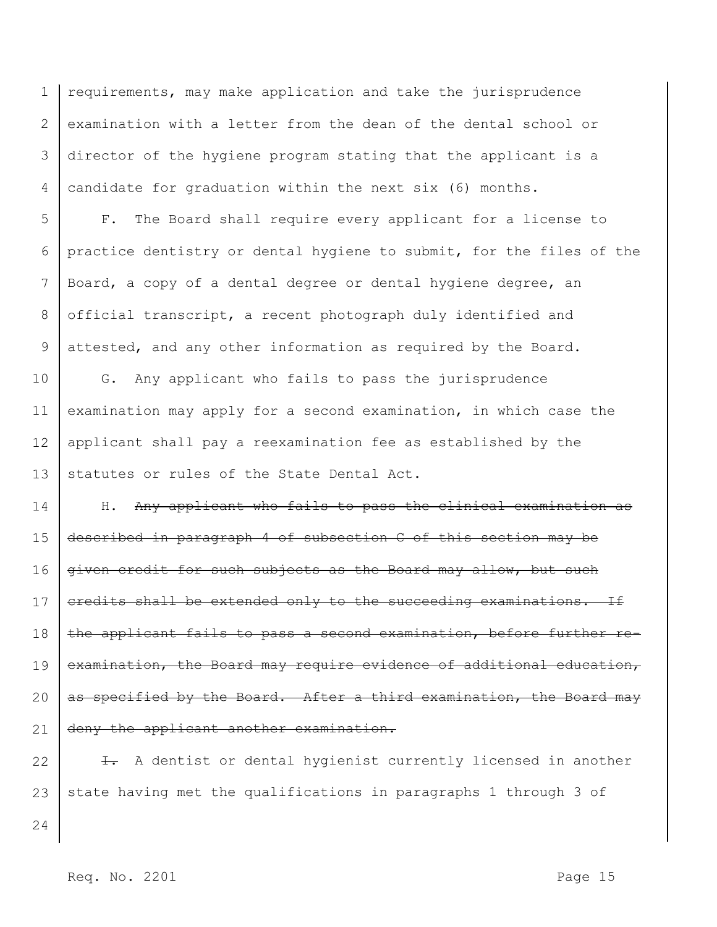1 2 3 4 requirements, may make application and take the jurisprudence examination with a letter from the dean of the dental school or director of the hygiene program stating that the applicant is a candidate for graduation within the next six (6) months.

5 6 7 8 9 F. The Board shall require every applicant for a license to practice dentistry or dental hygiene to submit, for the files of the Board, a copy of a dental degree or dental hygiene degree, an official transcript, a recent photograph duly identified and attested, and any other information as required by the Board.

10 11 12 13 G. Any applicant who fails to pass the jurisprudence examination may apply for a second examination, in which case the applicant shall pay a reexamination fee as established by the statutes or rules of the State Dental Act.

14 15 16 17 18 19 20 21 H. Any applicant who fails to pass the clinical examination as described in paragraph 4 of subsection C of this section may be given credit for such subjects as the Board may allow, but such credits shall be extended only to the succeeding examinations. If the applicant fails to pass a second examination, before further reexamination, the Board may require evidence of additional education, as specified by the Board. After a third examination, the Board may deny the applicant another examination.

22 23  $\overline{1}$ . A dentist or dental hygienist currently licensed in another state having met the qualifications in paragraphs 1 through 3 of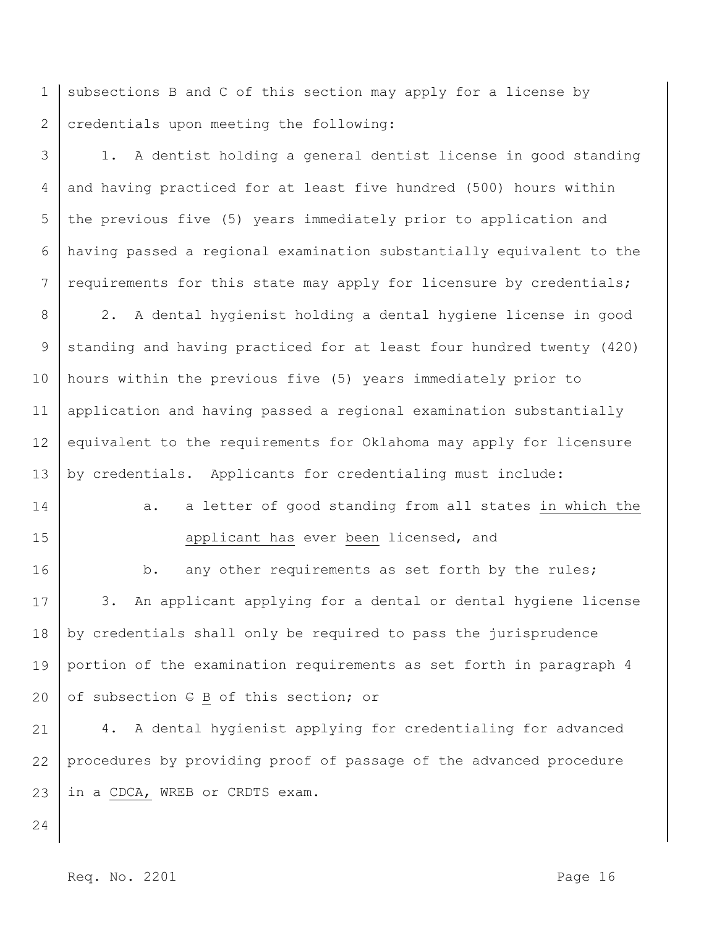1 2 subsections B and C of this section may apply for a license by credentials upon meeting the following:

3 4 5 6 7 1. A dentist holding a general dentist license in good standing and having practiced for at least five hundred (500) hours within the previous five (5) years immediately prior to application and having passed a regional examination substantially equivalent to the requirements for this state may apply for licensure by credentials;

8 9 10 11 12 13 2. A dental hygienist holding a dental hygiene license in good standing and having practiced for at least four hundred twenty (420) hours within the previous five (5) years immediately prior to application and having passed a regional examination substantially equivalent to the requirements for Oklahoma may apply for licensure by credentials. Applicants for credentialing must include:

- 14
- 
- 15

applicant has ever been licensed, and

a. a letter of good standing from all states in which the

16 17 18 19 20 b. any other requirements as set forth by the rules; 3. An applicant applying for a dental or dental hygiene license by credentials shall only be required to pass the jurisprudence portion of the examination requirements as set forth in paragraph 4 of subsection C B of this section; or

21 22 23 4. A dental hygienist applying for credentialing for advanced procedures by providing proof of passage of the advanced procedure in a CDCA, WREB or CRDTS exam.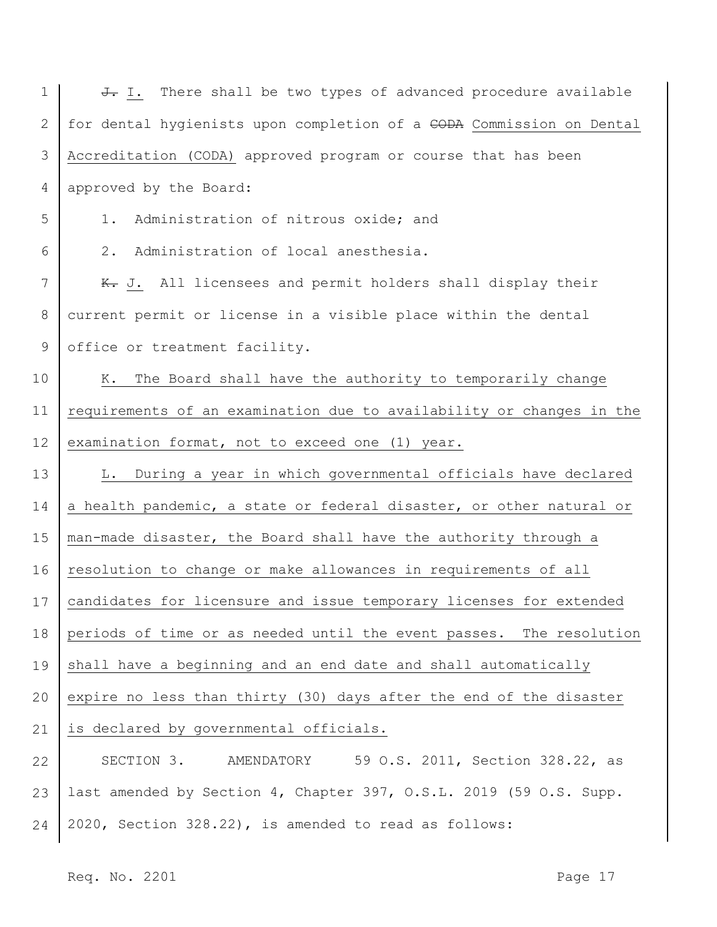| J. I. There shall be two types of advanced procedure available          |
|-------------------------------------------------------------------------|
| for dental hygienists upon completion of a CODA Commission on Dental    |
| Accreditation (CODA) approved program or course that has been           |
| approved by the Board:                                                  |
| Administration of nitrous oxide; and<br>$1$ .                           |
| $2$ .<br>Administration of local anesthesia.                            |
| K. J. All licensees and permit holders shall display their              |
| current permit or license in a visible place within the dental          |
| office or treatment facility.                                           |
| The Board shall have the authority to temporarily change<br>К.          |
| requirements of an examination due to availability or changes in the    |
| examination format, not to exceed one (1) year.                         |
| During a year in which governmental officials have declared<br>L.       |
| a health pandemic, a state or federal disaster, or other natural or     |
| man-made disaster, the Board shall have the authority through a         |
| resolution to change or make allowances in requirements of all          |
| 17   candidates for licensure and issue temporary licenses for extended |
| periods of time or as needed until the event passes. The resolution     |
| shall have a beginning and an end date and shall automatically          |
| expire no less than thirty (30) days after the end of the disaster      |
| is declared by governmental officials.                                  |
| 59 O.S. 2011, Section 328.22, as<br>SECTION 3. AMENDATORY               |
| last amended by Section 4, Chapter 397, O.S.L. 2019 (59 O.S. Supp.      |
| 2020, Section 328.22), is amended to read as follows:                   |
|                                                                         |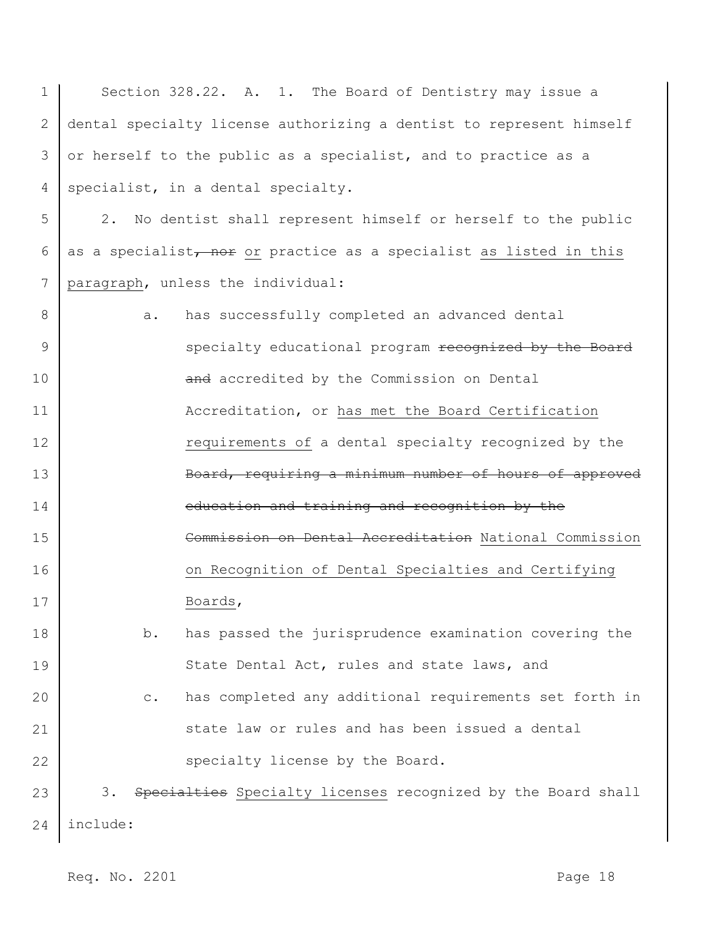| 1            | Section 328.22. A. 1. The Board of Dentistry may issue a                 |
|--------------|--------------------------------------------------------------------------|
| $\mathbf{2}$ | dental specialty license authorizing a dentist to represent himself      |
| 3            | or herself to the public as a specialist, and to practice as a           |
| 4            | specialist, in a dental specialty.                                       |
| 5            | No dentist shall represent himself or herself to the public<br>2.        |
| 6            | as a specialist, nor or practice as a specialist as listed in this       |
| 7            | paragraph, unless the individual:                                        |
| 8            | has successfully completed an advanced dental<br>а.                      |
| 9            | specialty educational program recognized by the Board                    |
| 10           | and accredited by the Commission on Dental                               |
| 11           | Accreditation, or has met the Board Certification                        |
| 12           | requirements of a dental specialty recognized by the                     |
| 13           | Board, requiring a minimum number of hours of approved                   |
| 14           | education and training and recognition by the                            |
| 15           | Commission on Dental Accreditation National Commission                   |
| 16           | on Recognition of Dental Specialties and Certifying                      |
| 17           | Boards,                                                                  |
| 18           | has passed the jurisprudence examination covering the<br>b.              |
| 19           | State Dental Act, rules and state laws, and                              |
| 20           | has completed any additional requirements set forth in<br>$\mathtt{C}$ . |
| 21           | state law or rules and has been issued a dental                          |
| 22           | specialty license by the Board.                                          |
| 23           | 3. Specialties Specialty licenses recognized by the Board shall          |
| 24           | include:                                                                 |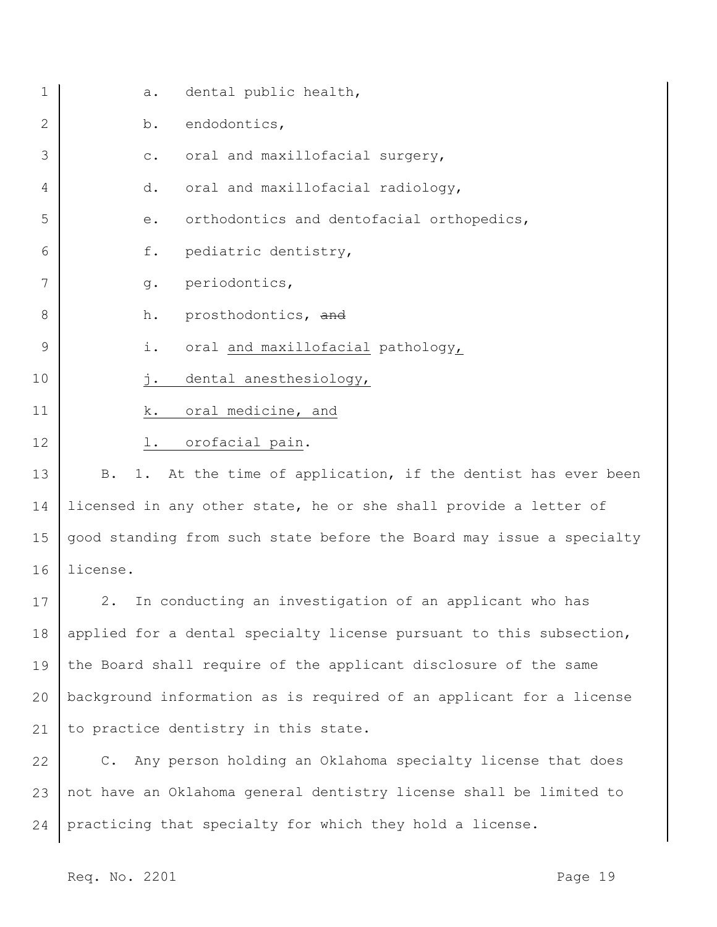| $\mathbf 1$ | a.             | dental public health,                                                |
|-------------|----------------|----------------------------------------------------------------------|
| 2           | b.             | endodontics,                                                         |
| 3           | $\mathtt{C}$ . | oral and maxillofacial surgery,                                      |
| 4           | d.             | oral and maxillofacial radiology,                                    |
| 5           | е.             | orthodontics and dentofacial orthopedics,                            |
| 6           | f.             | pediatric dentistry,                                                 |
| 7           | $g$ .          | periodontics,                                                        |
| 8           | h.             | prosthodontics, and                                                  |
| 9           | i.             | oral and maxillofacial pathology,                                    |
| 10          | j.             | dental anesthesiology,                                               |
| 11          | k.             | oral medicine, and                                                   |
| 12          | l.             | orofacial pain.                                                      |
| 13          | <b>B</b> .     | 1. At the time of application, if the dentist has ever been          |
| 14          |                | licensed in any other state, he or she shall provide a letter of     |
| 15          |                | good standing from such state before the Board may issue a specialty |
| 16          | license.       |                                                                      |
| 17          | 2.             | In conducting an investigation of an applicant who has               |
| 18          |                | applied for a dental specialty license pursuant to this subsection,  |
| 19          |                | the Board shall require of the applicant disclosure of the same      |
| 20          |                | background information as is required of an applicant for a license  |
| 21          |                | to practice dentistry in this state.                                 |
| 22          |                | C. Any person holding an Oklahoma specialty license that does        |
| 23          |                | not have an Oklahoma general dentistry license shall be limited to   |

24 practicing that specialty for which they hold a license.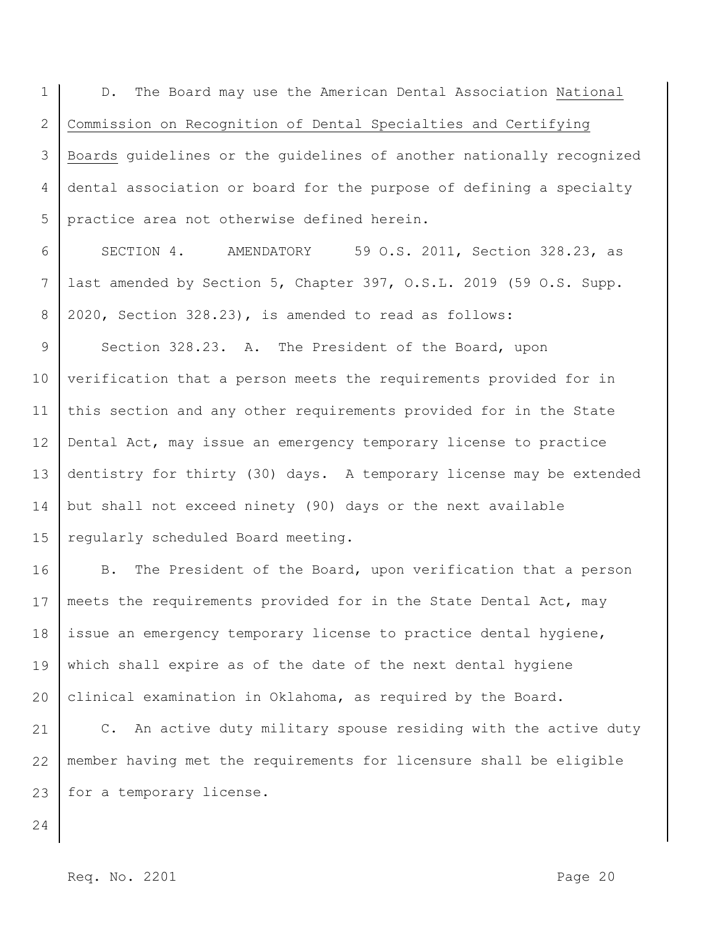1 2 3 4 5 D. The Board may use the American Dental Association National Commission on Recognition of Dental Specialties and Certifying Boards guidelines or the guidelines of another nationally recognized dental association or board for the purpose of defining a specialty practice area not otherwise defined herein.

6 7 8 SECTION 4. AMENDATORY 59 O.S. 2011, Section 328.23, as last amended by Section 5, Chapter 397, O.S.L. 2019 (59 O.S. Supp. 2020, Section 328.23), is amended to read as follows:

9 10 11 12 13 14 15 Section 328.23. A. The President of the Board, upon verification that a person meets the requirements provided for in this section and any other requirements provided for in the State Dental Act, may issue an emergency temporary license to practice dentistry for thirty (30) days. A temporary license may be extended but shall not exceed ninety (90) days or the next available regularly scheduled Board meeting.

16 17 18 19 20 B. The President of the Board, upon verification that a person meets the requirements provided for in the State Dental Act, may issue an emergency temporary license to practice dental hygiene, which shall expire as of the date of the next dental hygiene clinical examination in Oklahoma, as required by the Board.

21 22 23 C. An active duty military spouse residing with the active duty member having met the requirements for licensure shall be eligible for a temporary license.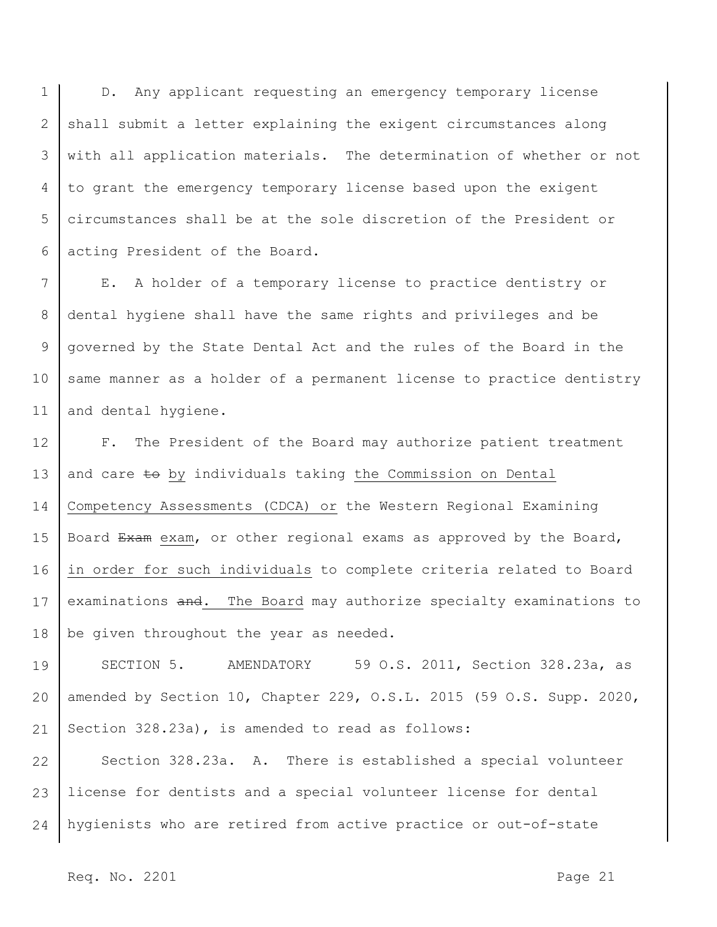1 2 3 4 5 6 D. Any applicant requesting an emergency temporary license shall submit a letter explaining the exigent circumstances along with all application materials. The determination of whether or not to grant the emergency temporary license based upon the exigent circumstances shall be at the sole discretion of the President or acting President of the Board.

7 8 9 10 11 E. A holder of a temporary license to practice dentistry or dental hygiene shall have the same rights and privileges and be governed by the State Dental Act and the rules of the Board in the same manner as a holder of a permanent license to practice dentistry and dental hygiene.

12 13 14 15 16 17 18 F. The President of the Board may authorize patient treatment and care to by individuals taking the Commission on Dental Competency Assessments (CDCA) or the Western Regional Examining Board Exam exam, or other regional exams as approved by the Board, in order for such individuals to complete criteria related to Board examinations and. The Board may authorize specialty examinations to be given throughout the year as needed.

19 20 21 SECTION 5. AMENDATORY 59 O.S. 2011, Section 328.23a, as amended by Section 10, Chapter 229, O.S.L. 2015 (59 O.S. Supp. 2020, Section 328.23a), is amended to read as follows:

22 23 24 Section 328.23a. A. There is established a special volunteer license for dentists and a special volunteer license for dental hygienists who are retired from active practice or out-of-state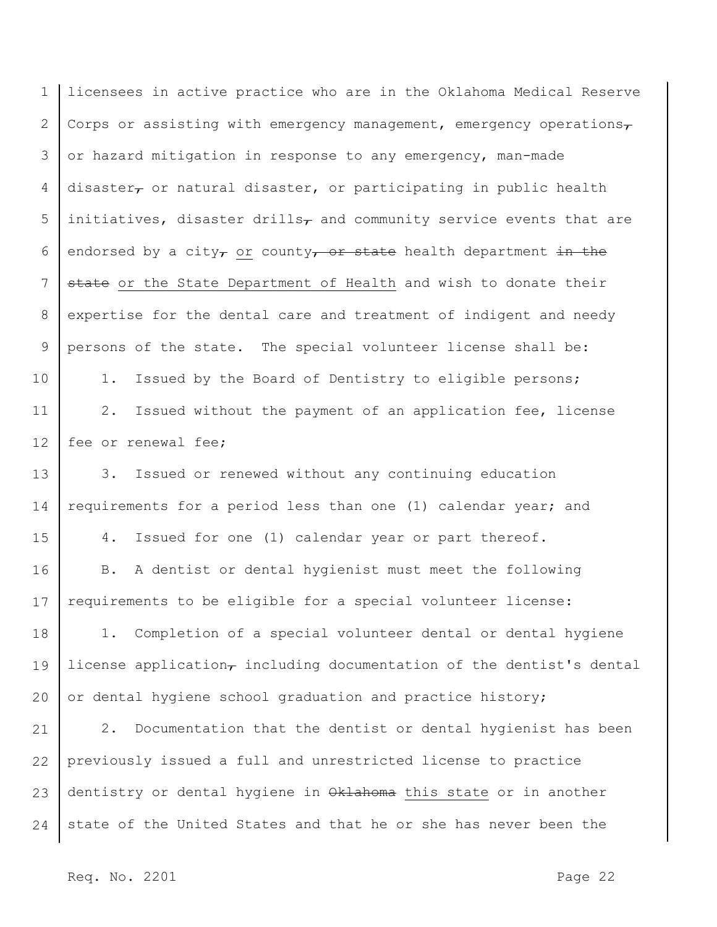| $\mathbf 1$ | licensees in active practice who are in the Oklahoma Medical Reserve                         |  |  |  |  |  |  |  |
|-------------|----------------------------------------------------------------------------------------------|--|--|--|--|--|--|--|
| 2           | Corps or assisting with emergency management, emergency operations $\tau$                    |  |  |  |  |  |  |  |
| 3           | or hazard mitigation in response to any emergency, man-made                                  |  |  |  |  |  |  |  |
| 4           | disaster <sub><math>\tau</math></sub> or natural disaster, or participating in public health |  |  |  |  |  |  |  |
| 5           | initiatives, disaster drills <sub>7</sub> and community service events that are              |  |  |  |  |  |  |  |
| 6           | endorsed by a city, or county, or state health department in the                             |  |  |  |  |  |  |  |
| 7           | state or the State Department of Health and wish to donate their                             |  |  |  |  |  |  |  |
| 8           | expertise for the dental care and treatment of indigent and needy                            |  |  |  |  |  |  |  |
| 9           | persons of the state. The special volunteer license shall be:                                |  |  |  |  |  |  |  |
| 10          | Issued by the Board of Dentistry to eligible persons;<br>$1$ .                               |  |  |  |  |  |  |  |
| 11          | Issued without the payment of an application fee, license<br>2.                              |  |  |  |  |  |  |  |
| 12          | fee or renewal fee;                                                                          |  |  |  |  |  |  |  |
| 13          | Issued or renewed without any continuing education<br>3.                                     |  |  |  |  |  |  |  |
| 14          | requirements for a period less than one (1) calendar year; and                               |  |  |  |  |  |  |  |
| 15          | Issued for one (1) calendar year or part thereof.<br>4.                                      |  |  |  |  |  |  |  |
| 16          | A dentist or dental hygienist must meet the following<br>B.                                  |  |  |  |  |  |  |  |
| 17          | requirements to be eligible for a special volunteer license:                                 |  |  |  |  |  |  |  |
| 18          | 1. Completion of a special volunteer dental or dental hygiene                                |  |  |  |  |  |  |  |
| 19          | license application, including documentation of the dentist's dental                         |  |  |  |  |  |  |  |
| 20          | or dental hygiene school graduation and practice history;                                    |  |  |  |  |  |  |  |
| 21          | $2$ .<br>Documentation that the dentist or dental hygienist has been                         |  |  |  |  |  |  |  |
| 22          | previously issued a full and unrestricted license to practice                                |  |  |  |  |  |  |  |
| 23          | dentistry or dental hygiene in Oklahoma this state or in another                             |  |  |  |  |  |  |  |
| 24          | state of the United States and that he or she has never been the                             |  |  |  |  |  |  |  |
|             |                                                                                              |  |  |  |  |  |  |  |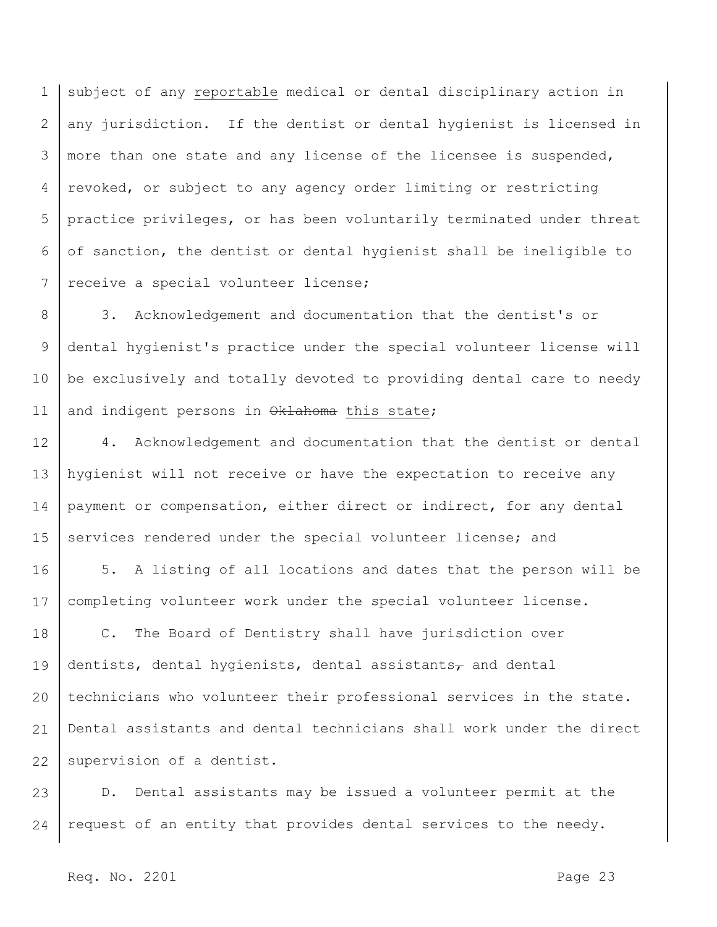1 2 3 4 5 6 7 subject of any reportable medical or dental disciplinary action in any jurisdiction. If the dentist or dental hygienist is licensed in more than one state and any license of the licensee is suspended, revoked, or subject to any agency order limiting or restricting practice privileges, or has been voluntarily terminated under threat of sanction, the dentist or dental hygienist shall be ineligible to receive a special volunteer license;

8 9 10 11 3. Acknowledgement and documentation that the dentist's or dental hygienist's practice under the special volunteer license will be exclusively and totally devoted to providing dental care to needy and indigent persons in Oklahoma this state;

12 13 14 15 4. Acknowledgement and documentation that the dentist or dental hygienist will not receive or have the expectation to receive any payment or compensation, either direct or indirect, for any dental services rendered under the special volunteer license; and

16 17 5. A listing of all locations and dates that the person will be completing volunteer work under the special volunteer license.

18 19 20 21 22 C. The Board of Dentistry shall have jurisdiction over dentists, dental hygienists, dental assistants $_{\tau}$  and dental technicians who volunteer their professional services in the state. Dental assistants and dental technicians shall work under the direct supervision of a dentist.

23 24 D. Dental assistants may be issued a volunteer permit at the request of an entity that provides dental services to the needy.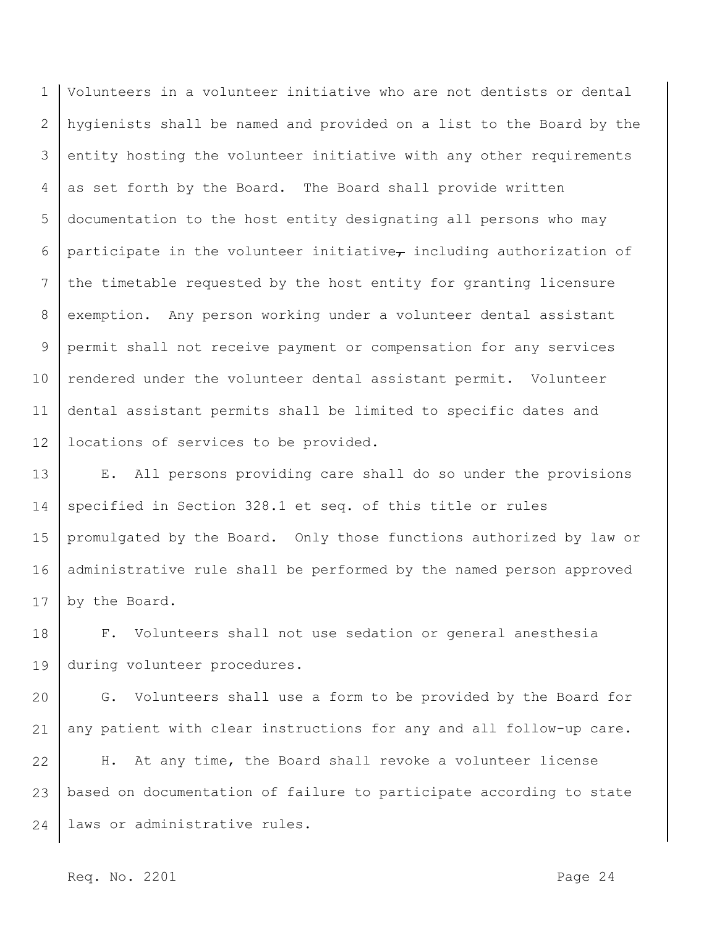1 2 3 4 5 6 7 8 9 10 11 12 Volunteers in a volunteer initiative who are not dentists or dental hygienists shall be named and provided on a list to the Board by the entity hosting the volunteer initiative with any other requirements as set forth by the Board. The Board shall provide written documentation to the host entity designating all persons who may participate in the volunteer initiative $_{\tau}$  including authorization of the timetable requested by the host entity for granting licensure exemption. Any person working under a volunteer dental assistant permit shall not receive payment or compensation for any services rendered under the volunteer dental assistant permit. Volunteer dental assistant permits shall be limited to specific dates and locations of services to be provided.

13 14 15 16 17 E. All persons providing care shall do so under the provisions specified in Section 328.1 et seq. of this title or rules promulgated by the Board. Only those functions authorized by law or administrative rule shall be performed by the named person approved by the Board.

18 19 F. Volunteers shall not use sedation or general anesthesia during volunteer procedures.

20 21 G. Volunteers shall use a form to be provided by the Board for any patient with clear instructions for any and all follow-up care.

22 23 24 H. At any time, the Board shall revoke a volunteer license based on documentation of failure to participate according to state laws or administrative rules.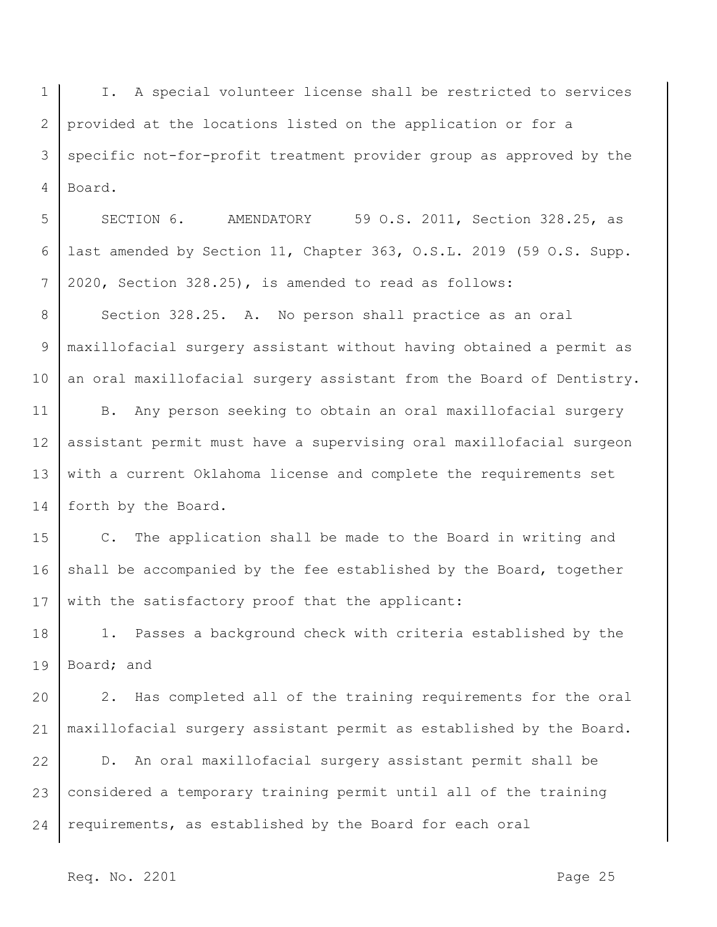1 2 3 4 I. A special volunteer license shall be restricted to services provided at the locations listed on the application or for a specific not-for-profit treatment provider group as approved by the Board.

5 6 7 SECTION 6. AMENDATORY 59 O.S. 2011, Section 328.25, as last amended by Section 11, Chapter 363, O.S.L. 2019 (59 O.S. Supp. 2020, Section 328.25), is amended to read as follows:

8 9 10 Section 328.25. A. No person shall practice as an oral maxillofacial surgery assistant without having obtained a permit as an oral maxillofacial surgery assistant from the Board of Dentistry.

11 12 13 14 B. Any person seeking to obtain an oral maxillofacial surgery assistant permit must have a supervising oral maxillofacial surgeon with a current Oklahoma license and complete the requirements set forth by the Board.

15 16 17 C. The application shall be made to the Board in writing and shall be accompanied by the fee established by the Board, together with the satisfactory proof that the applicant:

18 19 1. Passes a background check with criteria established by the Board; and

20 21 2. Has completed all of the training requirements for the oral maxillofacial surgery assistant permit as established by the Board.

22 23 24 D. An oral maxillofacial surgery assistant permit shall be considered a temporary training permit until all of the training requirements, as established by the Board for each oral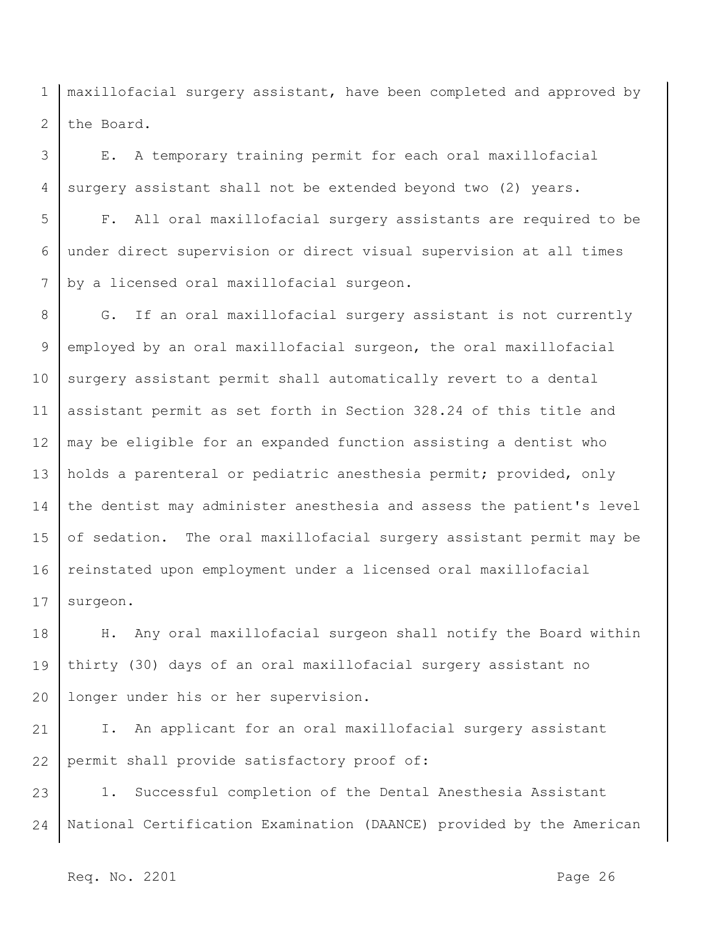1 2 maxillofacial surgery assistant, have been completed and approved by the Board.

3 4 E. A temporary training permit for each oral maxillofacial surgery assistant shall not be extended beyond two (2) years.

5 6 7 F. All oral maxillofacial surgery assistants are required to be under direct supervision or direct visual supervision at all times by a licensed oral maxillofacial surgeon.

8 9 10 11 12 13 14 15 16 17 G. If an oral maxillofacial surgery assistant is not currently employed by an oral maxillofacial surgeon, the oral maxillofacial surgery assistant permit shall automatically revert to a dental assistant permit as set forth in Section 328.24 of this title and may be eligible for an expanded function assisting a dentist who holds a parenteral or pediatric anesthesia permit; provided, only the dentist may administer anesthesia and assess the patient's level of sedation. The oral maxillofacial surgery assistant permit may be reinstated upon employment under a licensed oral maxillofacial surgeon.

18 19 20 H. Any oral maxillofacial surgeon shall notify the Board within thirty (30) days of an oral maxillofacial surgery assistant no longer under his or her supervision.

21 22 I. An applicant for an oral maxillofacial surgery assistant permit shall provide satisfactory proof of:

23 24 1. Successful completion of the Dental Anesthesia Assistant National Certification Examination (DAANCE) provided by the American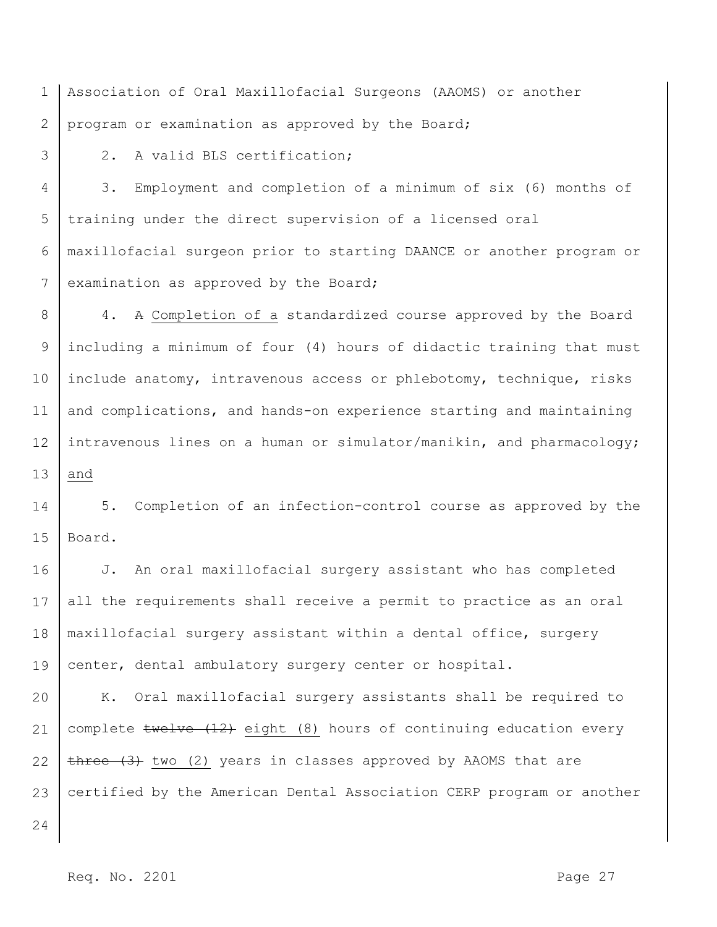1 2 Association of Oral Maxillofacial Surgeons (AAOMS) or another program or examination as approved by the Board;

3

2. A valid BLS certification;

4 5 6 7 3. Employment and completion of a minimum of six (6) months of training under the direct supervision of a licensed oral maxillofacial surgeon prior to starting DAANCE or another program or examination as approved by the Board;

8 9 10 11 12 13 4. A Completion of a standardized course approved by the Board including a minimum of four (4) hours of didactic training that must include anatomy, intravenous access or phlebotomy, technique, risks and complications, and hands-on experience starting and maintaining intravenous lines on a human or simulator/manikin, and pharmacology; and

14 15 5. Completion of an infection-control course as approved by the Board.

16 17 18 19 J. An oral maxillofacial surgery assistant who has completed all the requirements shall receive a permit to practice as an oral maxillofacial surgery assistant within a dental office, surgery center, dental ambulatory surgery center or hospital.

20 21 22 23 K. Oral maxillofacial surgery assistants shall be required to complete twelve (12) eight (8) hours of continuing education every  $t$ hree  $(3)$  two (2) years in classes approved by AAOMS that are certified by the American Dental Association CERP program or another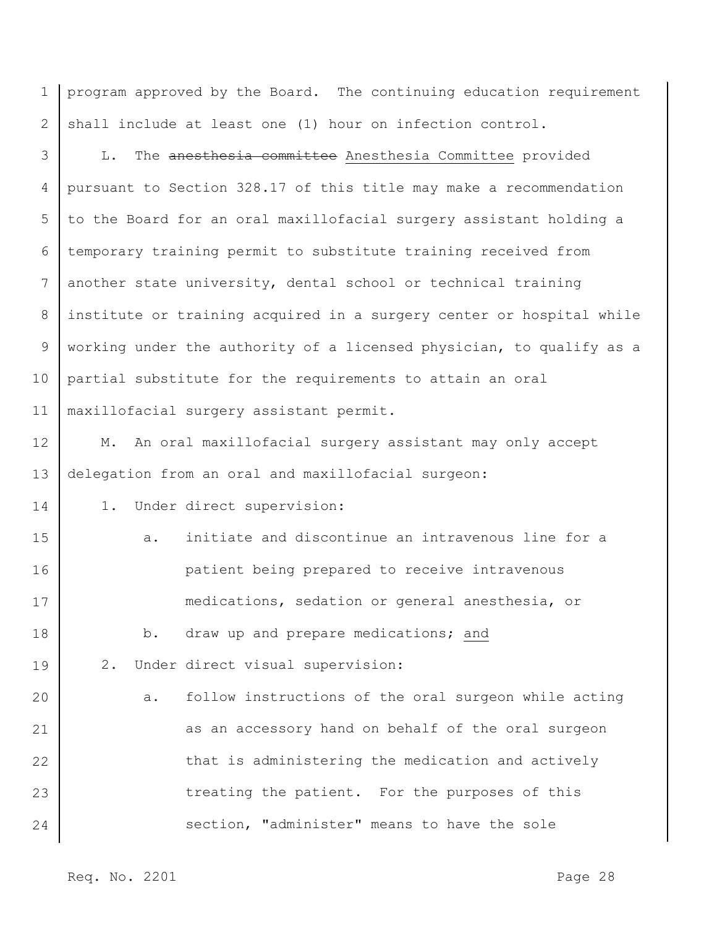1 2 program approved by the Board. The continuing education requirement shall include at least one (1) hour on infection control.

3 4 5 6 7 8 9 10 11 L. The anesthesia committee Anesthesia Committee provided pursuant to Section 328.17 of this title may make a recommendation to the Board for an oral maxillofacial surgery assistant holding a temporary training permit to substitute training received from another state university, dental school or technical training institute or training acquired in a surgery center or hospital while working under the authority of a licensed physician, to qualify as a partial substitute for the requirements to attain an oral maxillofacial surgery assistant permit.

12 13 M. An oral maxillofacial surgery assistant may only accept delegation from an oral and maxillofacial surgeon:

1. Under direct supervision:

| 15 | a. | initiate and discontinue an intravenous line for a   |
|----|----|------------------------------------------------------|
| 16 |    | patient being prepared to receive intravenous        |
| 17 |    | medications, sedation or general anesthesia, or      |
| 18 | b. | draw up and prepare medications; and                 |
| 19 |    | 2. Under direct visual supervision:                  |
| 20 | a. | follow instructions of the oral surgeon while acting |
| 21 |    | as an accessory hand on behalf of the oral surgeon   |
| 22 |    | that is administering the medication and actively    |
| 23 |    | treating the patient. For the purposes of this       |
| 24 |    | section, "administer" means to have the sole         |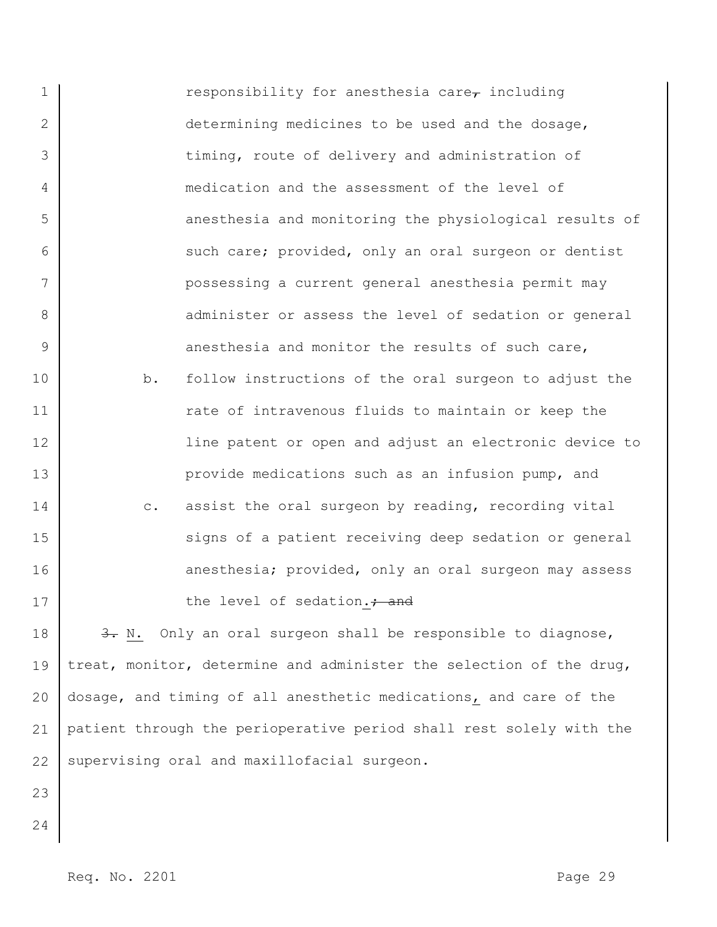1 2 3 4 5 6 7 8 9 10 11 12 13 14 15 16 17 18 19 20 responsibility for anesthesia care $\tau$  including determining medicines to be used and the dosage, timing, route of delivery and administration of medication and the assessment of the level of anesthesia and monitoring the physiological results of such care; provided, only an oral surgeon or dentist possessing a current general anesthesia permit may administer or assess the level of sedation or general anesthesia and monitor the results of such care, b. follow instructions of the oral surgeon to adjust the rate of intravenous fluids to maintain or keep the line patent or open and adjust an electronic device to provide medications such as an infusion pump, and c. assist the oral surgeon by reading, recording vital signs of a patient receiving deep sedation or general anesthesia; provided, only an oral surgeon may assess the level of sedation.; and 3. N. Only an oral surgeon shall be responsible to diagnose, treat, monitor, determine and administer the selection of the drug, dosage, and timing of all anesthetic medications, and care of the

21 22 patient through the perioperative period shall rest solely with the supervising oral and maxillofacial surgeon.

- 23
- 24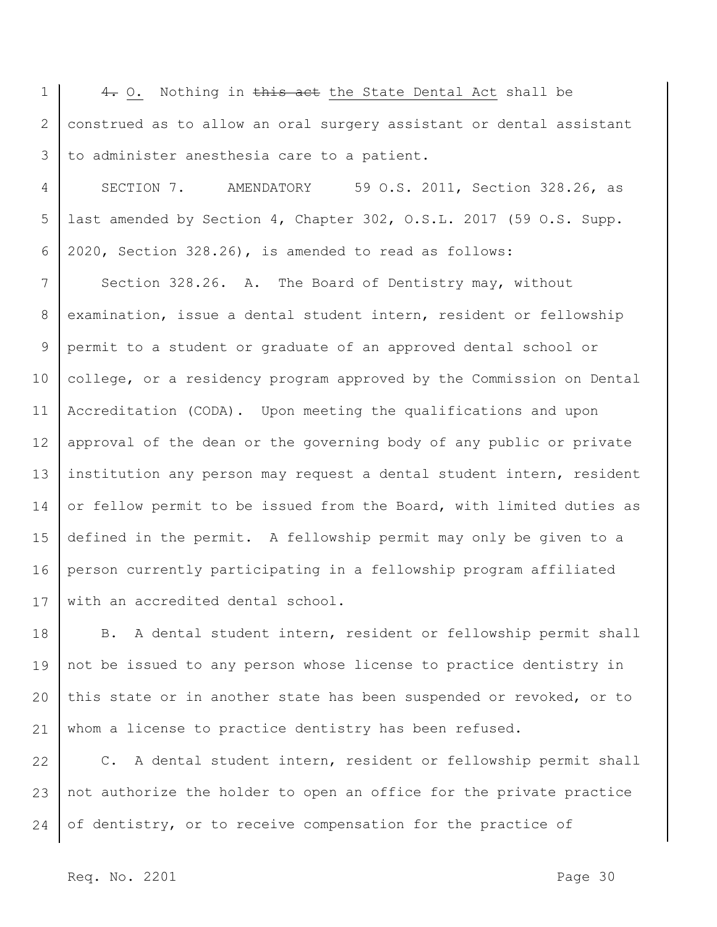1 2 3 4. O. Nothing in this act the State Dental Act shall be construed as to allow an oral surgery assistant or dental assistant to administer anesthesia care to a patient.

4 5 6 SECTION 7. AMENDATORY 59 O.S. 2011, Section 328.26, as last amended by Section 4, Chapter 302, O.S.L. 2017 (59 O.S. Supp. 2020, Section 328.26), is amended to read as follows:

7 8 9 10 11 12 13 14 15 16 17 Section 328.26. A. The Board of Dentistry may, without examination, issue a dental student intern, resident or fellowship permit to a student or graduate of an approved dental school or college, or a residency program approved by the Commission on Dental Accreditation (CODA). Upon meeting the qualifications and upon approval of the dean or the governing body of any public or private institution any person may request a dental student intern, resident or fellow permit to be issued from the Board, with limited duties as defined in the permit. A fellowship permit may only be given to a person currently participating in a fellowship program affiliated with an accredited dental school.

18 19 20 21 B. A dental student intern, resident or fellowship permit shall not be issued to any person whose license to practice dentistry in this state or in another state has been suspended or revoked, or to whom a license to practice dentistry has been refused.

22 23 24 C. A dental student intern, resident or fellowship permit shall not authorize the holder to open an office for the private practice of dentistry, or to receive compensation for the practice of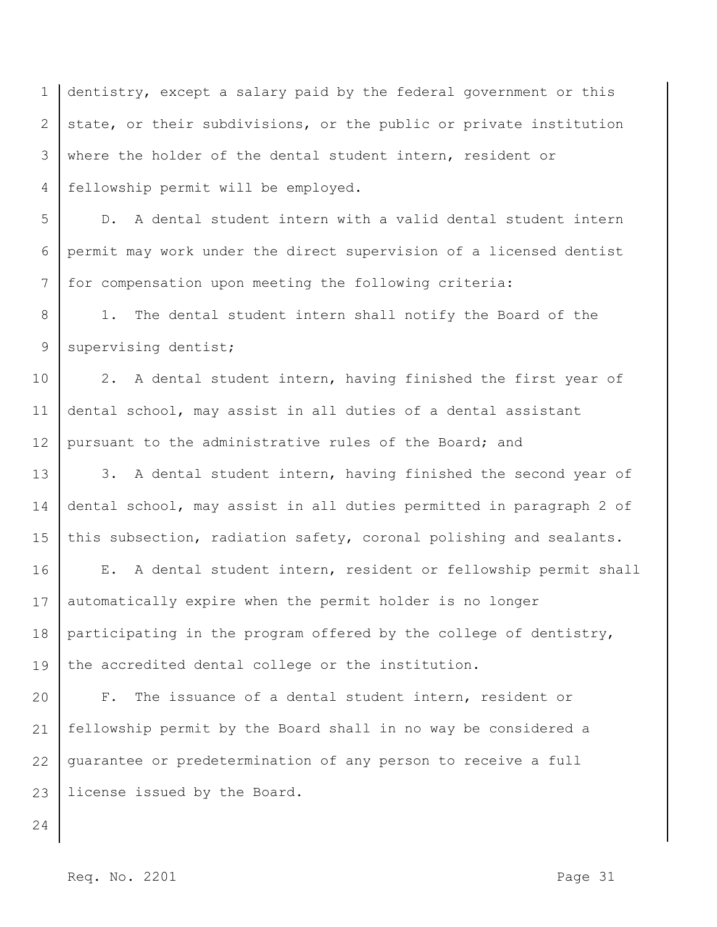1 2 3 4 dentistry, except a salary paid by the federal government or this state, or their subdivisions, or the public or private institution where the holder of the dental student intern, resident or fellowship permit will be employed.

5 6 7 D. A dental student intern with a valid dental student intern permit may work under the direct supervision of a licensed dentist for compensation upon meeting the following criteria:

8 9 1. The dental student intern shall notify the Board of the supervising dentist;

10 11 12 2. A dental student intern, having finished the first year of dental school, may assist in all duties of a dental assistant pursuant to the administrative rules of the Board; and

13 14 15 3. A dental student intern, having finished the second year of dental school, may assist in all duties permitted in paragraph 2 of this subsection, radiation safety, coronal polishing and sealants.

16 17 18 19 E. A dental student intern, resident or fellowship permit shall automatically expire when the permit holder is no longer participating in the program offered by the college of dentistry, the accredited dental college or the institution.

20 21 22 23 F. The issuance of a dental student intern, resident or fellowship permit by the Board shall in no way be considered a guarantee or predetermination of any person to receive a full license issued by the Board.

24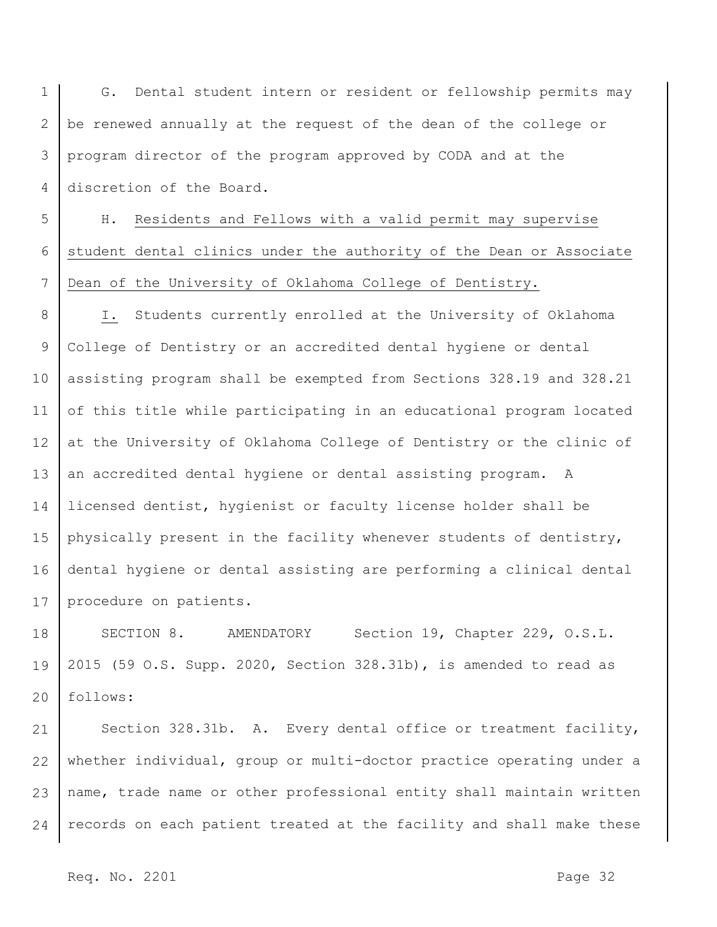1 2 3 4 G. Dental student intern or resident or fellowship permits may be renewed annually at the request of the dean of the college or program director of the program approved by CODA and at the discretion of the Board.

5 6 7 H. Residents and Fellows with a valid permit may supervise student dental clinics under the authority of the Dean or Associate Dean of the University of Oklahoma College of Dentistry.

8 9 10 11 12 13 14 15 16 17 I. Students currently enrolled at the University of Oklahoma College of Dentistry or an accredited dental hygiene or dental assisting program shall be exempted from Sections 328.19 and 328.21 of this title while participating in an educational program located at the University of Oklahoma College of Dentistry or the clinic of an accredited dental hygiene or dental assisting program. A licensed dentist, hygienist or faculty license holder shall be physically present in the facility whenever students of dentistry, dental hygiene or dental assisting are performing a clinical dental procedure on patients.

18 19 20 SECTION 8. AMENDATORY Section 19, Chapter 229, O.S.L. 2015 (59 O.S. Supp. 2020, Section 328.31b), is amended to read as follows:

21 22 23 24 Section 328.31b. A. Every dental office or treatment facility, whether individual, group or multi-doctor practice operating under a name, trade name or other professional entity shall maintain written records on each patient treated at the facility and shall make these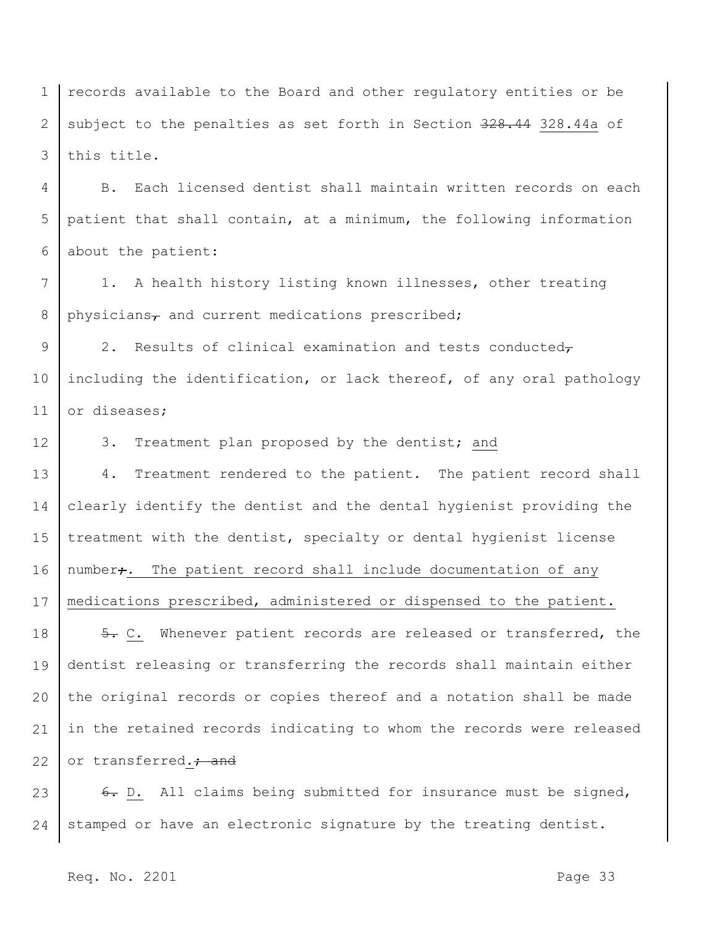1 2 3 records available to the Board and other regulatory entities or be subject to the penalties as set forth in Section 328.44 328.44a of this title.

4 5 6 B. Each licensed dentist shall maintain written records on each patient that shall contain, at a minimum, the following information about the patient:

7 8 1. A health history listing known illnesses, other treating  $physicians<sub>7</sub>$  and current medications prescribed;

9 10 11 2. Results of clinical examination and tests conducted $\tau$ including the identification, or lack thereof, of any oral pathology or diseases;

12 3. Treatment plan proposed by the dentist; and

13 14 15 16 17 18 19 20 21 4. Treatment rendered to the patient. The patient record shall clearly identify the dentist and the dental hygienist providing the treatment with the dentist, specialty or dental hygienist license number<sub>7</sub>. The patient record shall include documentation of any medications prescribed, administered or dispensed to the patient. 5. C. Whenever patient records are released or transferred, the dentist releasing or transferring the records shall maintain either the original records or copies thereof and a notation shall be made in the retained records indicating to whom the records were released

22 or transferred.<sup>2</sup> and

23 24 6. D. All claims being submitted for insurance must be signed, stamped or have an electronic signature by the treating dentist.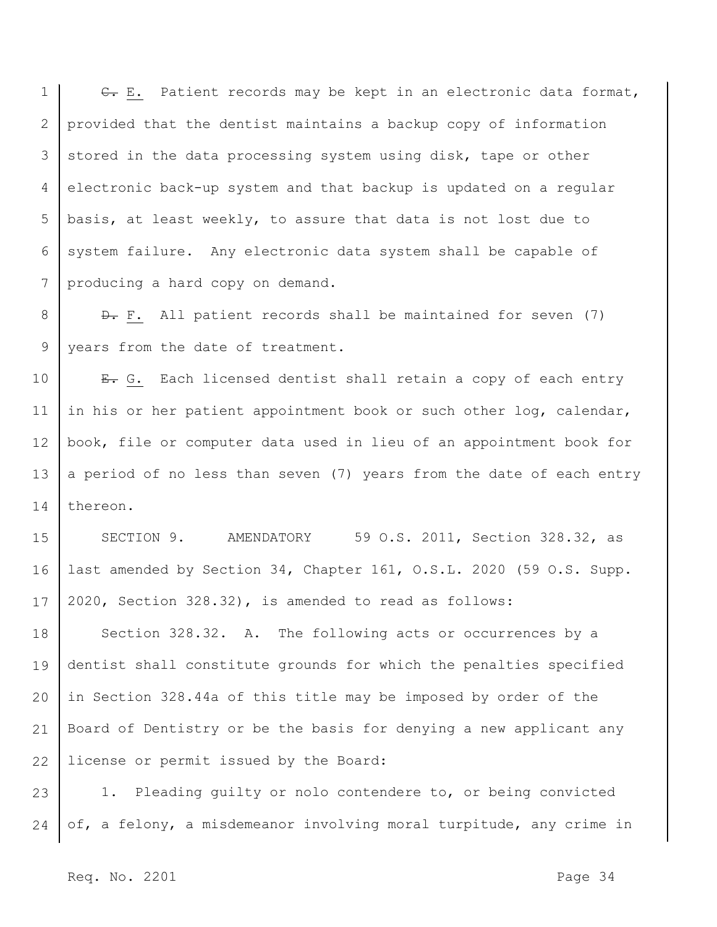1 2 3 4 5 6 7 E. E. Patient records may be kept in an electronic data format, provided that the dentist maintains a backup copy of information stored in the data processing system using disk, tape or other electronic back-up system and that backup is updated on a regular basis, at least weekly, to assure that data is not lost due to system failure. Any electronic data system shall be capable of producing a hard copy on demand.

8 9 D. F. All patient records shall be maintained for seven (7) years from the date of treatment.

10 11 12 13 14 E. G. Each licensed dentist shall retain a copy of each entry in his or her patient appointment book or such other log, calendar, book, file or computer data used in lieu of an appointment book for a period of no less than seven (7) years from the date of each entry thereon.

15 16 17 SECTION 9. AMENDATORY 59 O.S. 2011, Section 328.32, as last amended by Section 34, Chapter 161, O.S.L. 2020 (59 O.S. Supp. 2020, Section 328.32), is amended to read as follows:

18 19 20 21 22 Section 328.32. A. The following acts or occurrences by a dentist shall constitute grounds for which the penalties specified in Section 328.44a of this title may be imposed by order of the Board of Dentistry or be the basis for denying a new applicant any license or permit issued by the Board:

23 24 1. Pleading guilty or nolo contendere to, or being convicted of, a felony, a misdemeanor involving moral turpitude, any crime in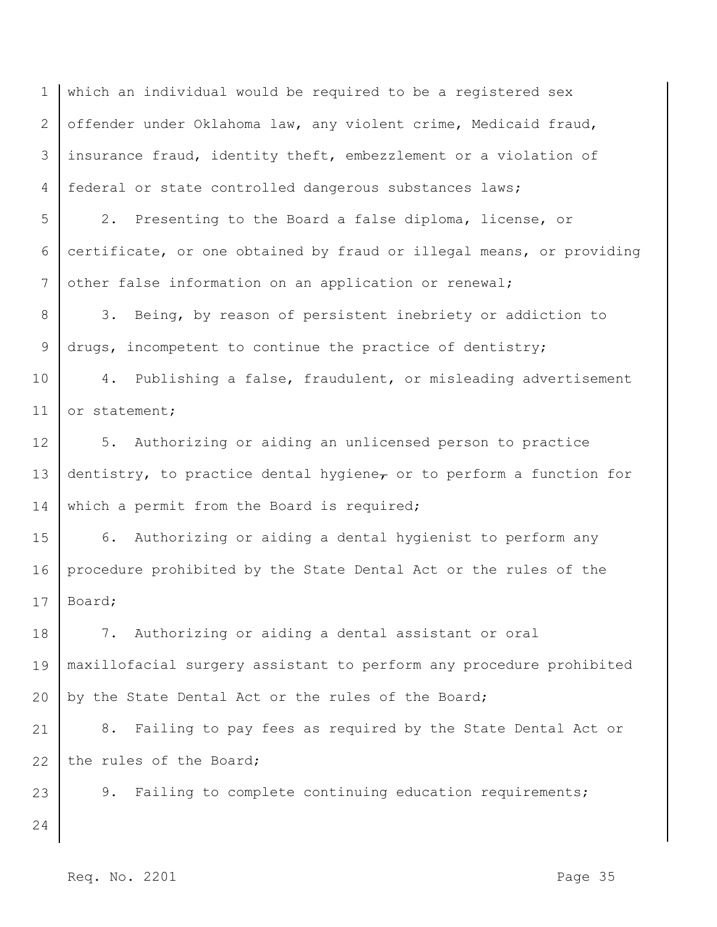1 2 3 4 which an individual would be required to be a registered sex offender under Oklahoma law, any violent crime, Medicaid fraud, insurance fraud, identity theft, embezzlement or a violation of federal or state controlled dangerous substances laws;

5 6 7 2. Presenting to the Board a false diploma, license, or certificate, or one obtained by fraud or illegal means, or providing other false information on an application or renewal;

8 9 3. Being, by reason of persistent inebriety or addiction to drugs, incompetent to continue the practice of dentistry;

10 11 4. Publishing a false, fraudulent, or misleading advertisement or statement;

12 13 14 5. Authorizing or aiding an unlicensed person to practice dentistry, to practice dental hygiene<sub> $\tau$ </sub> or to perform a function for which a permit from the Board is required;

15 16 17 6. Authorizing or aiding a dental hygienist to perform any procedure prohibited by the State Dental Act or the rules of the Board;

18 19 20 7. Authorizing or aiding a dental assistant or oral maxillofacial surgery assistant to perform any procedure prohibited by the State Dental Act or the rules of the Board;

21 22 8. Failing to pay fees as required by the State Dental Act or the rules of the Board;

23 9. Failing to complete continuing education requirements;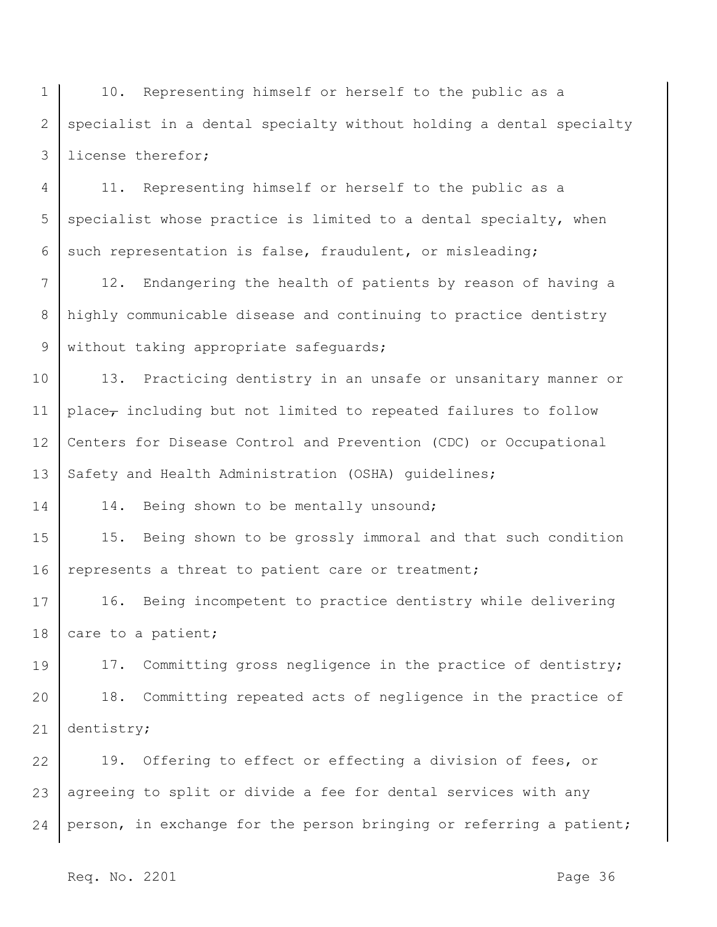1 2 3 10. Representing himself or herself to the public as a specialist in a dental specialty without holding a dental specialty license therefor;

4 5 6 11. Representing himself or herself to the public as a specialist whose practice is limited to a dental specialty, when such representation is false, fraudulent, or misleading;

7 8 9 12. Endangering the health of patients by reason of having a highly communicable disease and continuing to practice dentistry without taking appropriate safeguards;

10 11 12 13 13. Practicing dentistry in an unsafe or unsanitary manner or place<sub>r</sub> including but not limited to repeated failures to follow Centers for Disease Control and Prevention (CDC) or Occupational Safety and Health Administration (OSHA) guidelines;

14. Being shown to be mentally unsound;

15 16 15. Being shown to be grossly immoral and that such condition represents a threat to patient care or treatment;

17 18 16. Being incompetent to practice dentistry while delivering care to a patient;

19 20 21 17. Committing gross negligence in the practice of dentistry; 18. Committing repeated acts of negligence in the practice of dentistry;

22 23 24 19. Offering to effect or effecting a division of fees, or agreeing to split or divide a fee for dental services with any person, in exchange for the person bringing or referring a patient;

Req. No. 2201 **Page 36**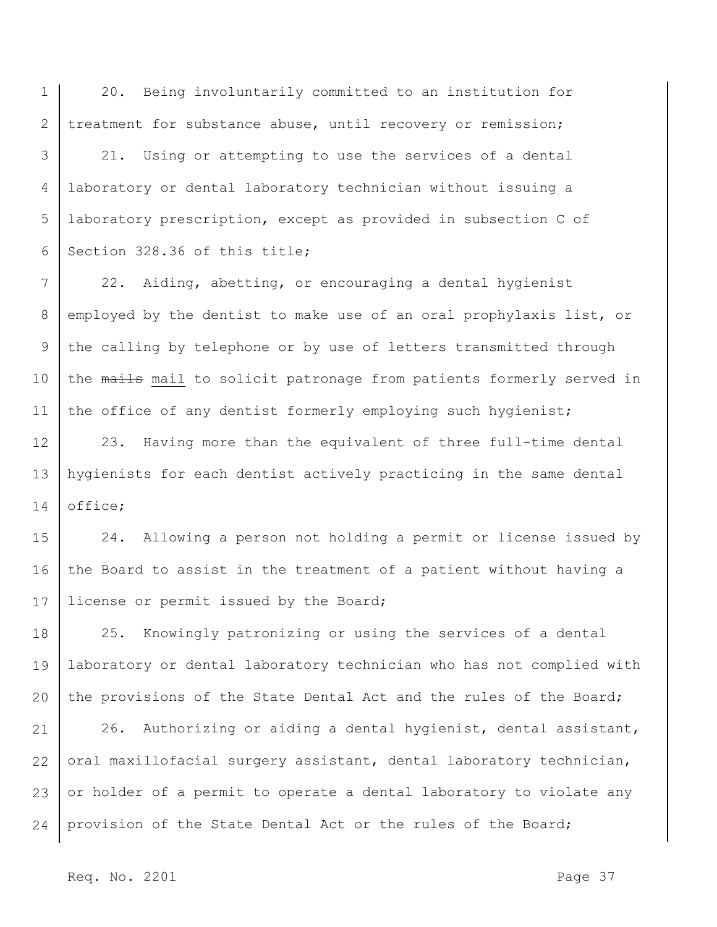1 2 20. Being involuntarily committed to an institution for treatment for substance abuse, until recovery or remission;

3 4 5 6 21. Using or attempting to use the services of a dental laboratory or dental laboratory technician without issuing a laboratory prescription, except as provided in subsection C of Section 328.36 of this title;

7 8 9 10 11 22. Aiding, abetting, or encouraging a dental hygienist employed by the dentist to make use of an oral prophylaxis list, or the calling by telephone or by use of letters transmitted through the mails mail to solicit patronage from patients formerly served in the office of any dentist formerly employing such hygienist;

12 13 14 23. Having more than the equivalent of three full-time dental hygienists for each dentist actively practicing in the same dental office;

15 16 17 24. Allowing a person not holding a permit or license issued by the Board to assist in the treatment of a patient without having a license or permit issued by the Board;

18 19 20 25. Knowingly patronizing or using the services of a dental laboratory or dental laboratory technician who has not complied with the provisions of the State Dental Act and the rules of the Board;

21 22 23 24 26. Authorizing or aiding a dental hygienist, dental assistant, oral maxillofacial surgery assistant, dental laboratory technician, or holder of a permit to operate a dental laboratory to violate any provision of the State Dental Act or the rules of the Board;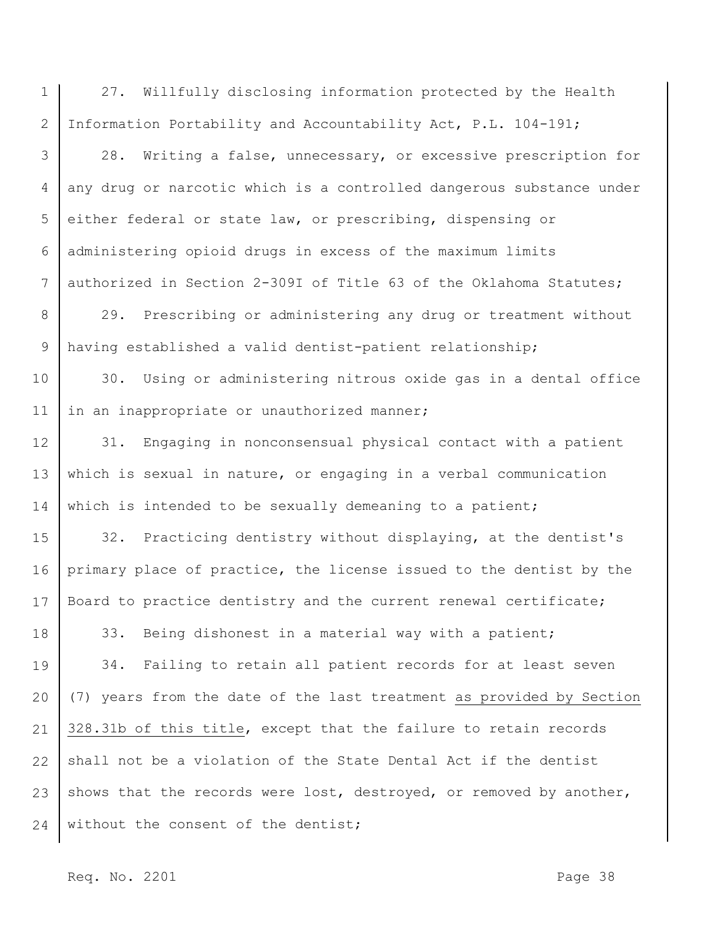1 2 27. Willfully disclosing information protected by the Health Information Portability and Accountability Act, P.L. 104-191;

3 4 5 6 7 28. Writing a false, unnecessary, or excessive prescription for any drug or narcotic which is a controlled dangerous substance under either federal or state law, or prescribing, dispensing or administering opioid drugs in excess of the maximum limits authorized in Section 2-309I of Title 63 of the Oklahoma Statutes;

8 9 29. Prescribing or administering any drug or treatment without having established a valid dentist-patient relationship;

10 11 30. Using or administering nitrous oxide gas in a dental office in an inappropriate or unauthorized manner;

12 13 14 31. Engaging in nonconsensual physical contact with a patient which is sexual in nature, or engaging in a verbal communication which is intended to be sexually demeaning to a patient;

15 16 17 18 32. Practicing dentistry without displaying, at the dentist's primary place of practice, the license issued to the dentist by the Board to practice dentistry and the current renewal certificate; 33. Being dishonest in a material way with a patient;

19 20 21 22 23 24 34. Failing to retain all patient records for at least seven (7) years from the date of the last treatment as provided by Section 328.31b of this title, except that the failure to retain records shall not be a violation of the State Dental Act if the dentist shows that the records were lost, destroyed, or removed by another, without the consent of the dentist;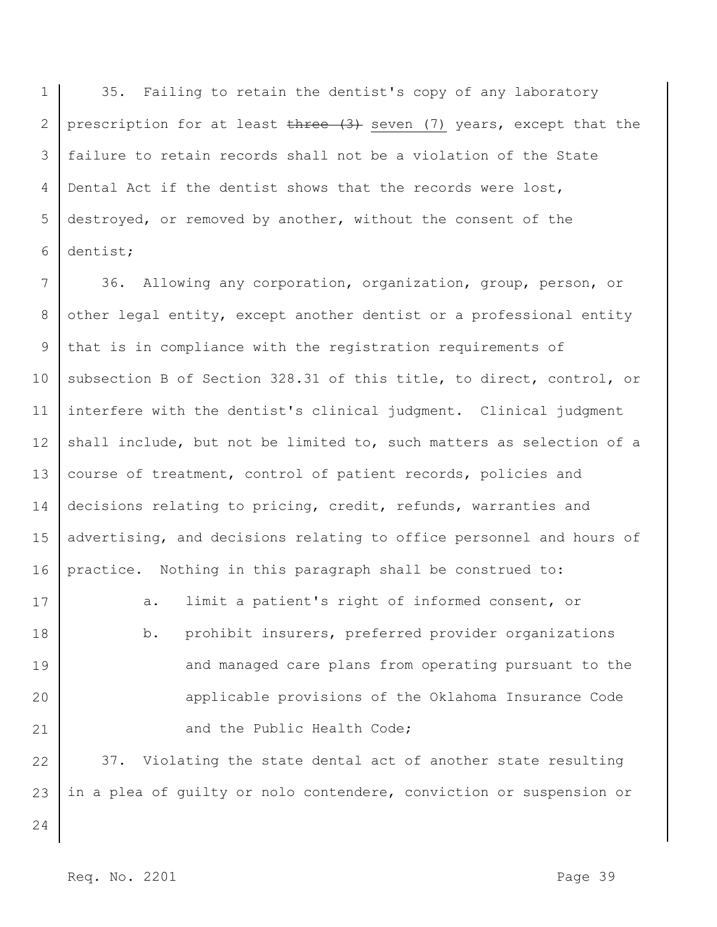1 2 3 4 5 6 35. Failing to retain the dentist's copy of any laboratory prescription for at least three (3) seven (7) years, except that the failure to retain records shall not be a violation of the State Dental Act if the dentist shows that the records were lost, destroyed, or removed by another, without the consent of the dentist;

7 8 9 10 11 12 13 14 15 16 17 36. Allowing any corporation, organization, group, person, or other legal entity, except another dentist or a professional entity that is in compliance with the registration requirements of subsection B of Section 328.31 of this title, to direct, control, or interfere with the dentist's clinical judgment. Clinical judgment shall include, but not be limited to, such matters as selection of a course of treatment, control of patient records, policies and decisions relating to pricing, credit, refunds, warranties and advertising, and decisions relating to office personnel and hours of practice. Nothing in this paragraph shall be construed to: a. limit a patient's right of informed consent, or

18 19 20 21 b. prohibit insurers, preferred provider organizations and managed care plans from operating pursuant to the applicable provisions of the Oklahoma Insurance Code and the Public Health Code;

22 23 37. Violating the state dental act of another state resulting in a plea of guilty or nolo contendere, conviction or suspension or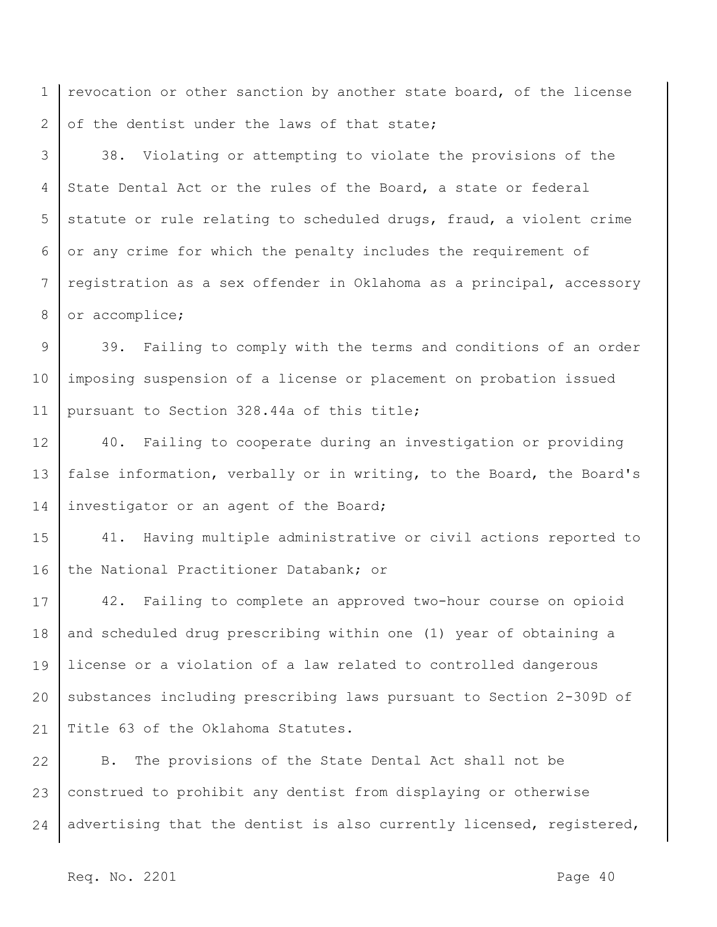1 2 revocation or other sanction by another state board, of the license of the dentist under the laws of that state;

3 4 5 6 7 8 38. Violating or attempting to violate the provisions of the State Dental Act or the rules of the Board, a state or federal statute or rule relating to scheduled drugs, fraud, a violent crime or any crime for which the penalty includes the requirement of registration as a sex offender in Oklahoma as a principal, accessory or accomplice;

9 10 11 39. Failing to comply with the terms and conditions of an order imposing suspension of a license or placement on probation issued pursuant to Section 328.44a of this title;

12 13 14 40. Failing to cooperate during an investigation or providing false information, verbally or in writing, to the Board, the Board's investigator or an agent of the Board;

15 16 41. Having multiple administrative or civil actions reported to the National Practitioner Databank; or

17 18 19 20 21 42. Failing to complete an approved two-hour course on opioid and scheduled drug prescribing within one (1) year of obtaining a license or a violation of a law related to controlled dangerous substances including prescribing laws pursuant to Section 2-309D of Title 63 of the Oklahoma Statutes.

22 23 24 B. The provisions of the State Dental Act shall not be construed to prohibit any dentist from displaying or otherwise advertising that the dentist is also currently licensed, registered,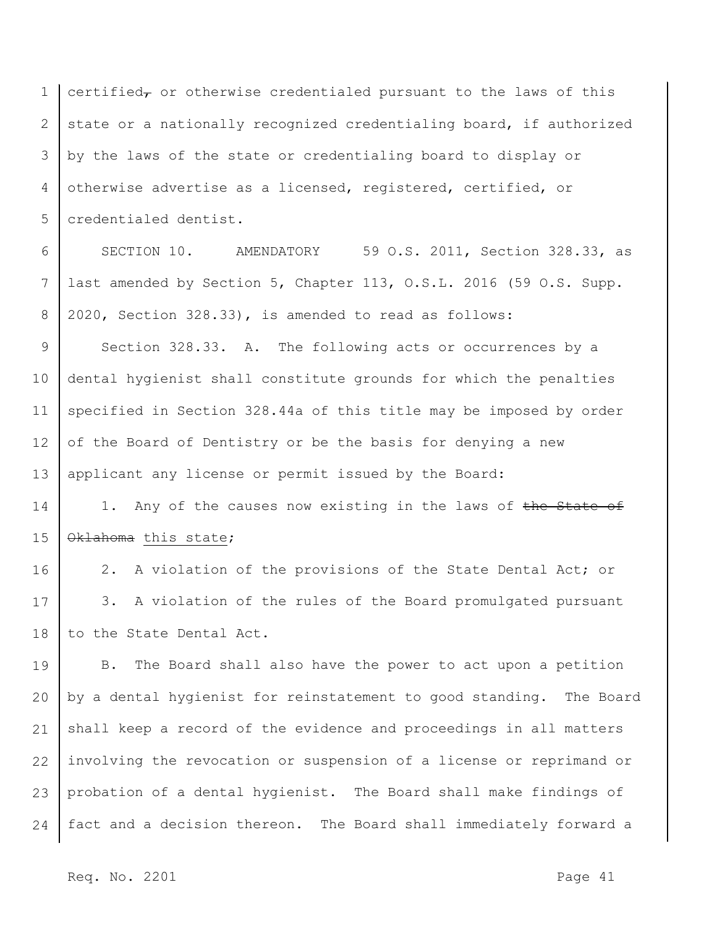1 2 3 4 5 certified $_{\tau}$  or otherwise credentialed pursuant to the laws of this state or a nationally recognized credentialing board, if authorized by the laws of the state or credentialing board to display or otherwise advertise as a licensed, registered, certified, or credentialed dentist.

6 7 8 SECTION 10. AMENDATORY 59 O.S. 2011, Section 328.33, as last amended by Section 5, Chapter 113, O.S.L. 2016 (59 O.S. Supp. 2020, Section 328.33), is amended to read as follows:

9 10 11 12 13 Section 328.33. A. The following acts or occurrences by a dental hygienist shall constitute grounds for which the penalties specified in Section 328.44a of this title may be imposed by order of the Board of Dentistry or be the basis for denying a new applicant any license or permit issued by the Board:

14 15 1. Any of the causes now existing in the laws of the State of Oklahoma this state;

16 17 18 2. A violation of the provisions of the State Dental Act; or 3. A violation of the rules of the Board promulgated pursuant to the State Dental Act.

19 20 21 22 23 24 B. The Board shall also have the power to act upon a petition by a dental hygienist for reinstatement to good standing. The Board shall keep a record of the evidence and proceedings in all matters involving the revocation or suspension of a license or reprimand or probation of a dental hygienist. The Board shall make findings of fact and a decision thereon. The Board shall immediately forward a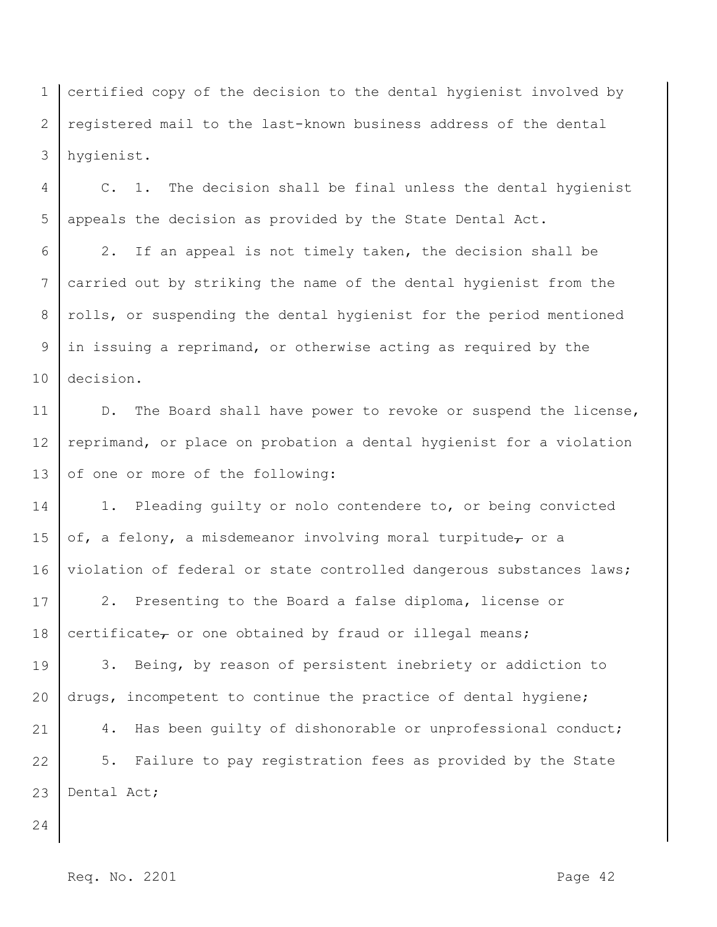1 2 3 certified copy of the decision to the dental hygienist involved by registered mail to the last-known business address of the dental hygienist.

4 5 C. 1. The decision shall be final unless the dental hygienist appeals the decision as provided by the State Dental Act.

6 7 8 9 10 2. If an appeal is not timely taken, the decision shall be carried out by striking the name of the dental hygienist from the rolls, or suspending the dental hygienist for the period mentioned in issuing a reprimand, or otherwise acting as required by the decision.

11 12 13 D. The Board shall have power to revoke or suspend the license, reprimand, or place on probation a dental hygienist for a violation of one or more of the following:

14 15 16 1. Pleading guilty or nolo contendere to, or being convicted of, a felony, a misdemeanor involving moral turpitude $_{\tau}$  or a violation of federal or state controlled dangerous substances laws;

17 18 2. Presenting to the Board a false diploma, license or certificate $\tau$  or one obtained by fraud or illegal means;

19 20 21 22 23 3. Being, by reason of persistent inebriety or addiction to drugs, incompetent to continue the practice of dental hygiene; 4. Has been quilty of dishonorable or unprofessional conduct; 5. Failure to pay registration fees as provided by the State Dental Act;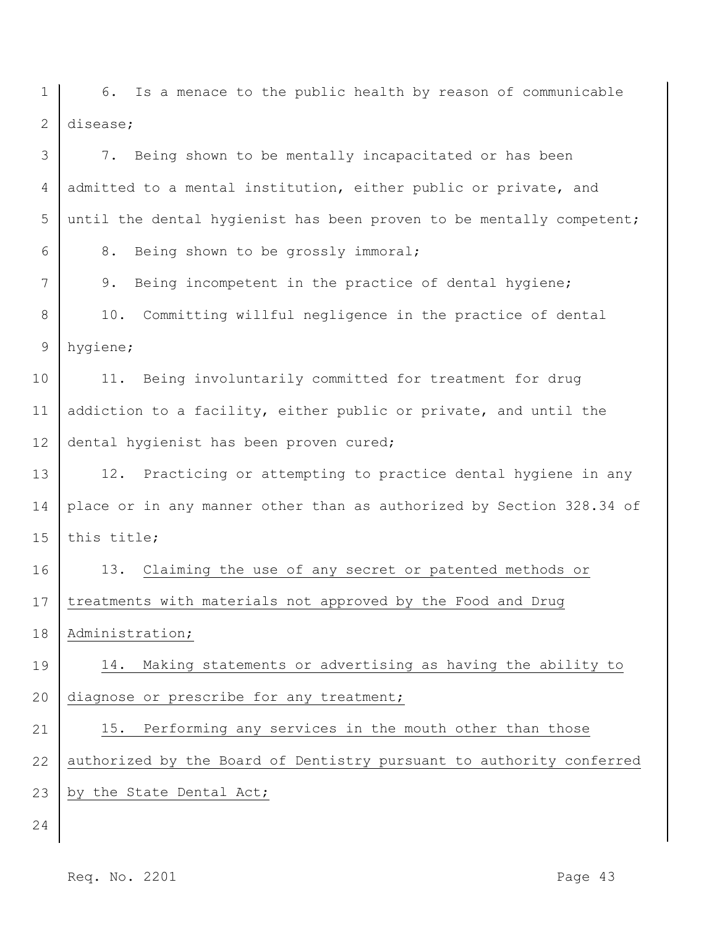1 2 6. Is a menace to the public health by reason of communicable disease;

| 3              | 7. Being shown to be mentally incapacitated or has been              |
|----------------|----------------------------------------------------------------------|
| 4              | admitted to a mental institution, either public or private, and      |
| 5              | until the dental hygienist has been proven to be mentally competent; |
| 6              | 8.<br>Being shown to be grossly immoral;                             |
| 7              | 9.<br>Being incompetent in the practice of dental hygiene;           |
| 8              | Committing willful negligence in the practice of dental<br>10.       |
| $\overline{9}$ | hygiene;                                                             |
| 10             | Being involuntarily committed for treatment for drug<br>11.          |
| 11             | addiction to a facility, either public or private, and until the     |
| 12             | dental hygienist has been proven cured;                              |
| 13             | 12. Practicing or attempting to practice dental hygiene in any       |
| 14             | place or in any manner other than as authorized by Section 328.34 of |
| 15             | this title;                                                          |
| 16             | 13.<br>Claiming the use of any secret or patented methods or         |
| 17             | treatments with materials not approved by the Food and Drug          |
| 18             | Administration;                                                      |
| 19             | 14. Making statements or advertising as having the ability to        |
| 20             | diagnose or prescribe for any treatment;                             |
| 21             | 15. Performing any services in the mouth other than those            |
| 22             | authorized by the Board of Dentistry pursuant to authority conferred |
| 23             | by the State Dental Act;                                             |
| 24             |                                                                      |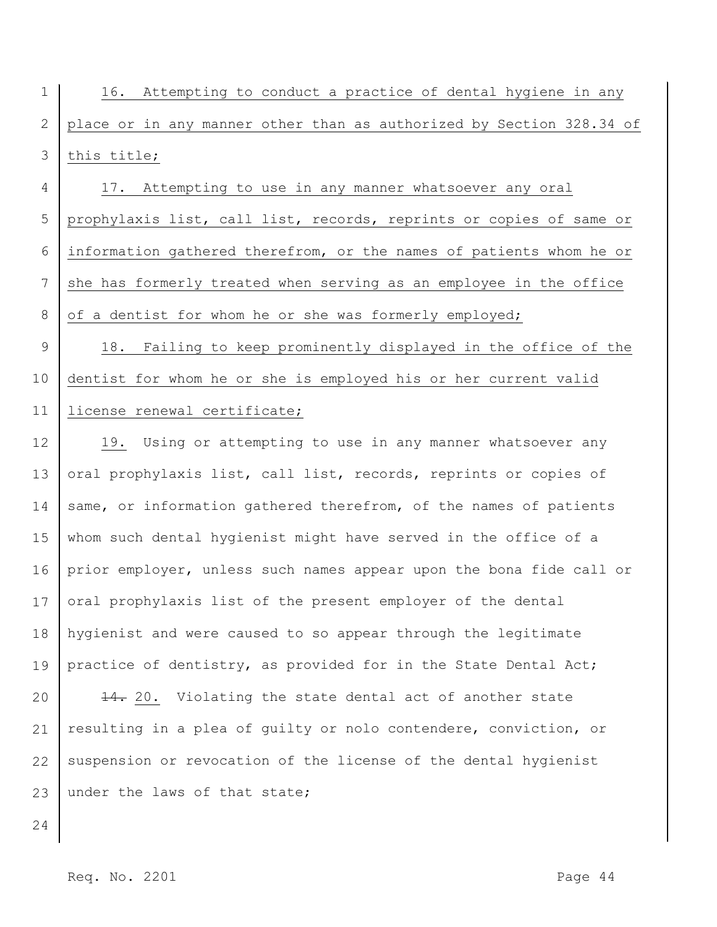| $1 \mid$                                                               |  |  |  |  | 16. Attempting to conduct a practice of dental hygiene in any |  |
|------------------------------------------------------------------------|--|--|--|--|---------------------------------------------------------------|--|
| 2 place or in any manner other than as authorized by Section 328.34 of |  |  |  |  |                                                               |  |
| 3 this title;                                                          |  |  |  |  |                                                               |  |

4 5 6 7 8 17. Attempting to use in any manner whatsoever any oral prophylaxis list, call list, records, reprints or copies of same or information gathered therefrom, or the names of patients whom he or she has formerly treated when serving as an employee in the office of a dentist for whom he or she was formerly employed;

9 10 11 18. Failing to keep prominently displayed in the office of the dentist for whom he or she is employed his or her current valid license renewal certificate;

12 13 14 15 16 17 18 19 19. Using or attempting to use in any manner whatsoever any oral prophylaxis list, call list, records, reprints or copies of same, or information gathered therefrom, of the names of patients whom such dental hygienist might have served in the office of a prior employer, unless such names appear upon the bona fide call or oral prophylaxis list of the present employer of the dental hygienist and were caused to so appear through the legitimate practice of dentistry, as provided for in the State Dental Act;

20 21 22 23 14. 20. Violating the state dental act of another state resulting in a plea of guilty or nolo contendere, conviction, or suspension or revocation of the license of the dental hygienist under the laws of that state;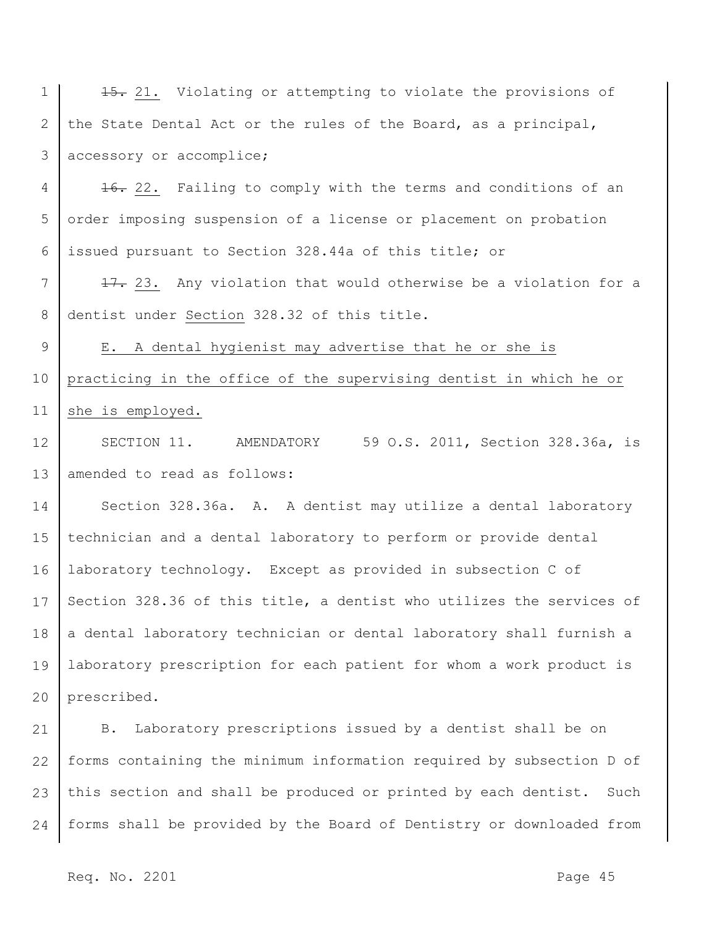1 2 3 15. 21. Violating or attempting to violate the provisions of the State Dental Act or the rules of the Board, as a principal, accessory or accomplice;

4 5 6 16. 22. Failing to comply with the terms and conditions of an order imposing suspension of a license or placement on probation issued pursuant to Section 328.44a of this title; or

7 8 17. 23. Any violation that would otherwise be a violation for a dentist under Section 328.32 of this title.

9 10 11 E. A dental hygienist may advertise that he or she is practicing in the office of the supervising dentist in which he or she is employed.

12 13 SECTION 11. AMENDATORY 59 O.S. 2011, Section 328.36a, is amended to read as follows:

14 15 16 17 18 19 20 Section 328.36a. A. A dentist may utilize a dental laboratory technician and a dental laboratory to perform or provide dental laboratory technology. Except as provided in subsection C of Section 328.36 of this title, a dentist who utilizes the services of a dental laboratory technician or dental laboratory shall furnish a laboratory prescription for each patient for whom a work product is prescribed.

21 22 23 24 B. Laboratory prescriptions issued by a dentist shall be on forms containing the minimum information required by subsection D of this section and shall be produced or printed by each dentist. Such forms shall be provided by the Board of Dentistry or downloaded from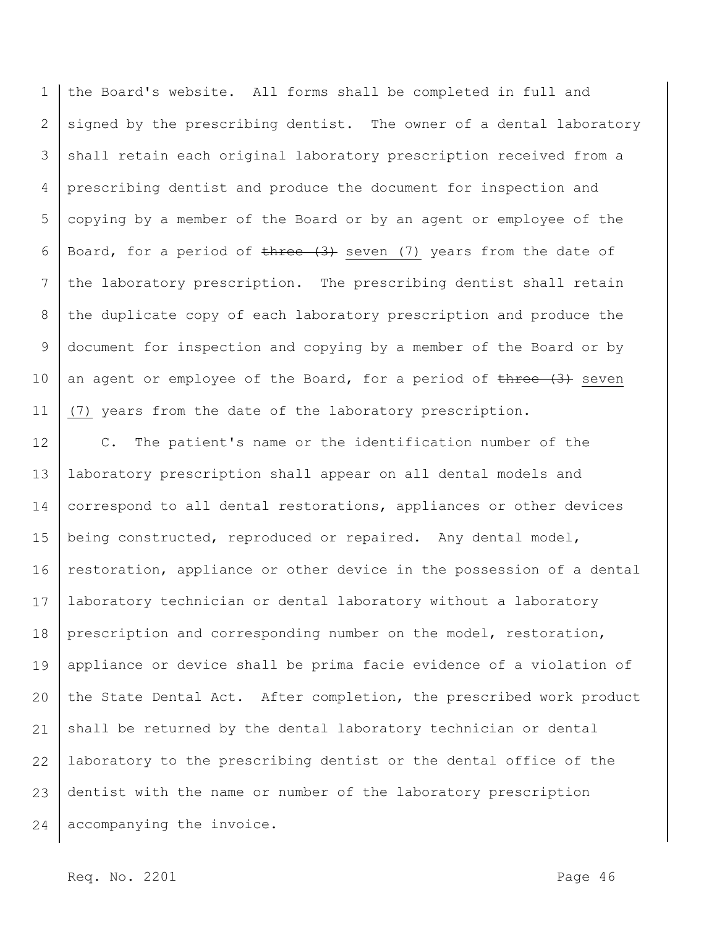1 2 3 4 5 6 7 8 9 10 11 the Board's website. All forms shall be completed in full and signed by the prescribing dentist. The owner of a dental laboratory shall retain each original laboratory prescription received from a prescribing dentist and produce the document for inspection and copying by a member of the Board or by an agent or employee of the Board, for a period of  $t$ hree  $(3)$  seven  $(7)$  years from the date of the laboratory prescription. The prescribing dentist shall retain the duplicate copy of each laboratory prescription and produce the document for inspection and copying by a member of the Board or by an agent or employee of the Board, for a period of  $t$ here  $(3)$  seven (7) years from the date of the laboratory prescription.

12 13 14 15 16 17 18 19 20 21 22 23 24 C. The patient's name or the identification number of the laboratory prescription shall appear on all dental models and correspond to all dental restorations, appliances or other devices being constructed, reproduced or repaired. Any dental model, restoration, appliance or other device in the possession of a dental laboratory technician or dental laboratory without a laboratory prescription and corresponding number on the model, restoration, appliance or device shall be prima facie evidence of a violation of the State Dental Act. After completion, the prescribed work product shall be returned by the dental laboratory technician or dental laboratory to the prescribing dentist or the dental office of the dentist with the name or number of the laboratory prescription accompanying the invoice.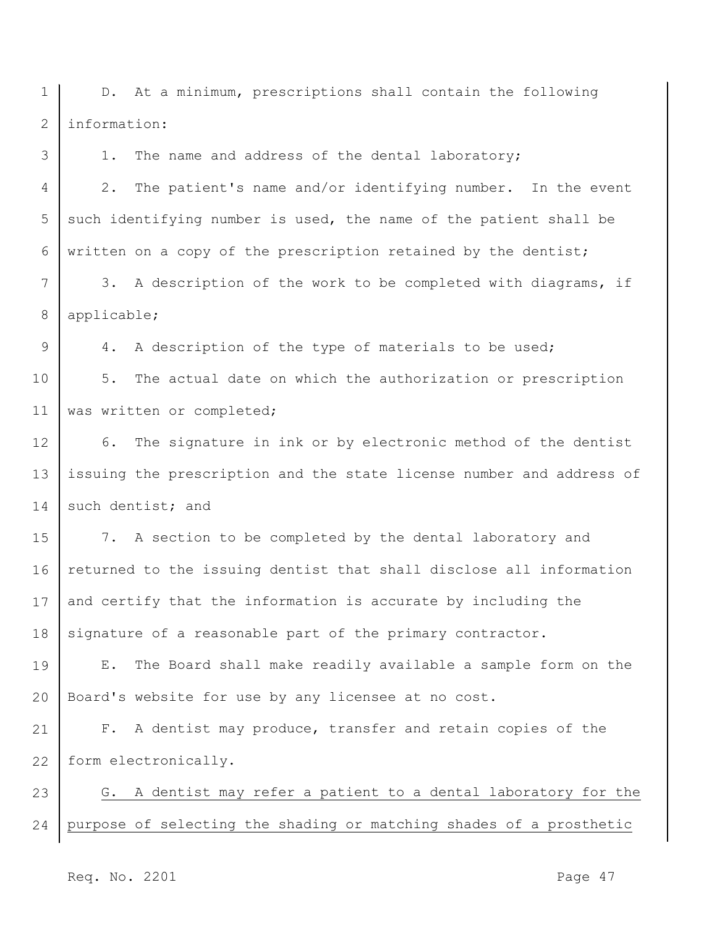1 2 D. At a minimum, prescriptions shall contain the following information:

1. The name and address of the dental laboratory;

4 5 6 2. The patient's name and/or identifying number. In the event such identifying number is used, the name of the patient shall be written on a copy of the prescription retained by the dentist;

7 8 3. A description of the work to be completed with diagrams, if applicable;

9 10 11 4. A description of the type of materials to be used; 5. The actual date on which the authorization or prescription was written or completed;

12 13 14 6. The signature in ink or by electronic method of the dentist issuing the prescription and the state license number and address of such dentist; and

15 16 17 18 7. A section to be completed by the dental laboratory and returned to the issuing dentist that shall disclose all information and certify that the information is accurate by including the signature of a reasonable part of the primary contractor.

19 20 E. The Board shall make readily available a sample form on the Board's website for use by any licensee at no cost.

21 22 F. A dentist may produce, transfer and retain copies of the form electronically.

23 24 G. A dentist may refer a patient to a dental laboratory for the purpose of selecting the shading or matching shades of a prosthetic

Req. No. 2201 **Page 47**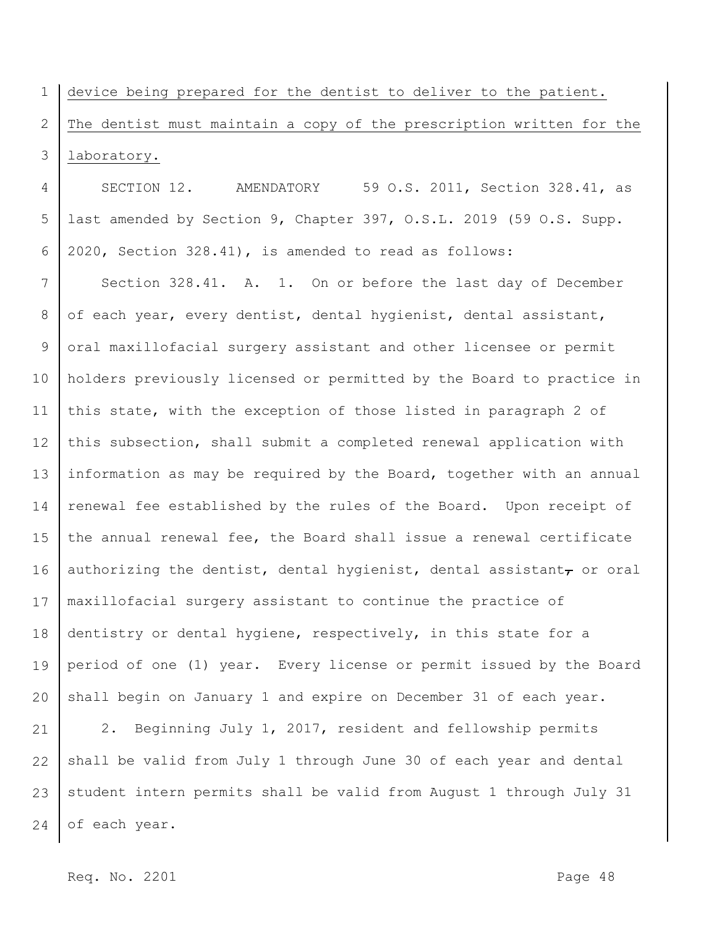1 2 3 device being prepared for the dentist to deliver to the patient. The dentist must maintain a copy of the prescription written for the laboratory.

4 5 6 SECTION 12. AMENDATORY 59 O.S. 2011, Section 328.41, as last amended by Section 9, Chapter 397, O.S.L. 2019 (59 O.S. Supp. 2020, Section 328.41), is amended to read as follows:

7 8 9 10 11 12 13 14 15 16 17 18 19 20 Section 328.41. A. 1. On or before the last day of December of each year, every dentist, dental hygienist, dental assistant, oral maxillofacial surgery assistant and other licensee or permit holders previously licensed or permitted by the Board to practice in this state, with the exception of those listed in paragraph 2 of this subsection, shall submit a completed renewal application with information as may be required by the Board, together with an annual renewal fee established by the rules of the Board. Upon receipt of the annual renewal fee, the Board shall issue a renewal certificate authorizing the dentist, dental hygienist, dental assistant $_{\tau}$  or oral maxillofacial surgery assistant to continue the practice of dentistry or dental hygiene, respectively, in this state for a period of one (1) year. Every license or permit issued by the Board shall begin on January 1 and expire on December 31 of each year.

21 22 23 24 2. Beginning July 1, 2017, resident and fellowship permits shall be valid from July 1 through June 30 of each year and dental student intern permits shall be valid from August 1 through July 31 of each year.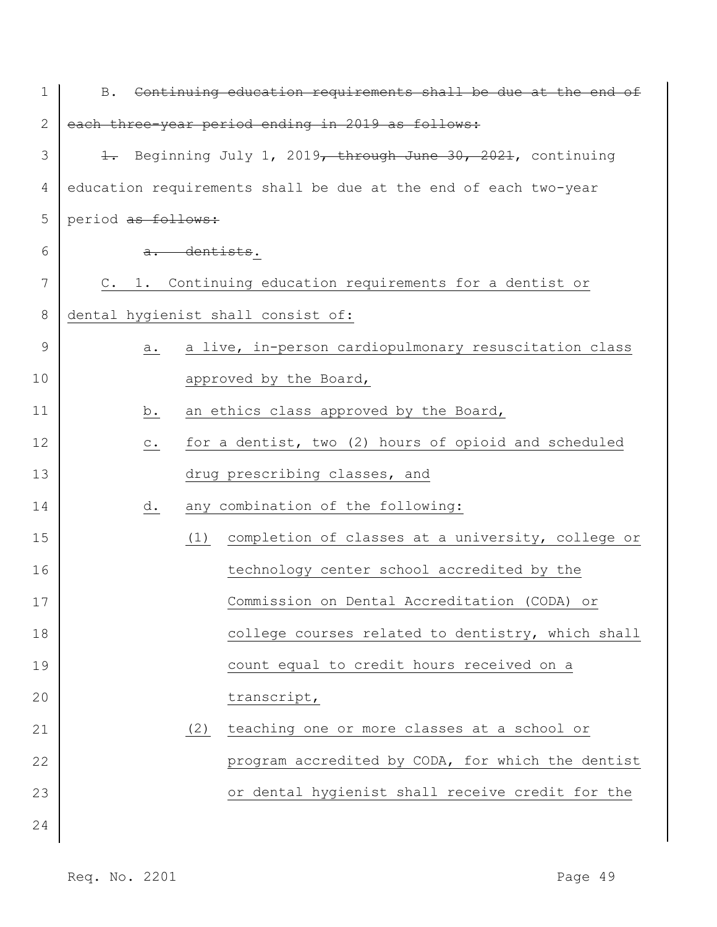| 1            |                    |              | B. Continuing education requirements shall be due at the end of |
|--------------|--------------------|--------------|-----------------------------------------------------------------|
| $\mathbf{2}$ |                    |              | each three-year period ending in 2019 as follows:               |
| 3            |                    |              | 1. Beginning July 1, 2019, through June 30, 2021, continuing    |
| 4            |                    |              | education requirements shall be due at the end of each two-year |
| 5            | period as follows: |              |                                                                 |
| 6            |                    | a. dentists. |                                                                 |
| 7            |                    |              | C. 1. Continuing education requirements for a dentist or        |
| 8            |                    |              | dental hygienist shall consist of:                              |
| 9            | а.                 |              | a live, in-person cardiopulmonary resuscitation class           |
| 10           |                    |              | approved by the Board,                                          |
| 11           | b.                 |              | an ethics class approved by the Board,                          |
| 12           | $\circ$ .          |              | for a dentist, two (2) hours of opioid and scheduled            |
| 13           |                    |              | drug prescribing classes, and                                   |
| 14           | d.                 |              | any combination of the following:                               |
| 15           |                    | (1)          | completion of classes at a university, college or               |
| 16           |                    |              | technology center school accredited by the                      |
| 17           |                    |              | Commission on Dental Accreditation (CODA) or                    |
| 18           |                    |              | college courses related to dentistry, which shall               |
| 19           |                    |              | count equal to credit hours received on a                       |
| 20           |                    |              | transcript,                                                     |
| 21           |                    | (2)          | teaching one or more classes at a school or                     |
| 22           |                    |              | program accredited by CODA, for which the dentist               |
| 23           |                    |              | or dental hygienist shall receive credit for the                |
| 24           |                    |              |                                                                 |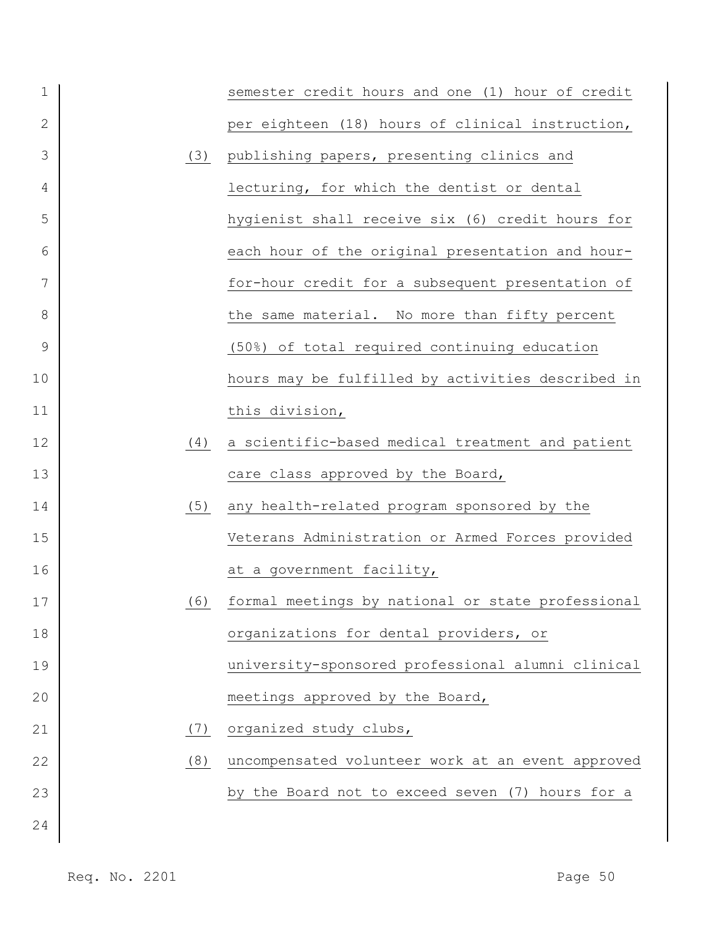| 1              |     | semester credit hours and one (1) hour of credit  |
|----------------|-----|---------------------------------------------------|
| $\overline{2}$ |     | per eighteen (18) hours of clinical instruction,  |
| 3              | (3) | publishing papers, presenting clinics and         |
| 4              |     | lecturing, for which the dentist or dental        |
| 5              |     | hygienist shall receive six (6) credit hours for  |
| 6              |     | each hour of the original presentation and hour-  |
| 7              |     | for-hour credit for a subsequent presentation of  |
| 8              |     | the same material. No more than fifty percent     |
| 9              |     | (50%) of total required continuing education      |
| 10             |     | hours may be fulfilled by activities described in |
| 11             |     | this division,                                    |
| 12             | (4) | a scientific-based medical treatment and patient  |
| 13             |     | care class approved by the Board,                 |
| 14             | (5) | any health-related program sponsored by the       |
| 15             |     | Veterans Administration or Armed Forces provided  |
| 16             |     | at a government facility,                         |
| 17             | (6) | formal meetings by national or state professional |
| 18             |     | organizations for dental providers, or            |
| 19             |     | university-sponsored professional alumni clinical |
| 20             |     | meetings approved by the Board,                   |
| 21             | (7) | organized study clubs,                            |
| 22             | (8) | uncompensated volunteer work at an event approved |
| 23             |     | by the Board not to exceed seven (7) hours for a  |
| 24             |     |                                                   |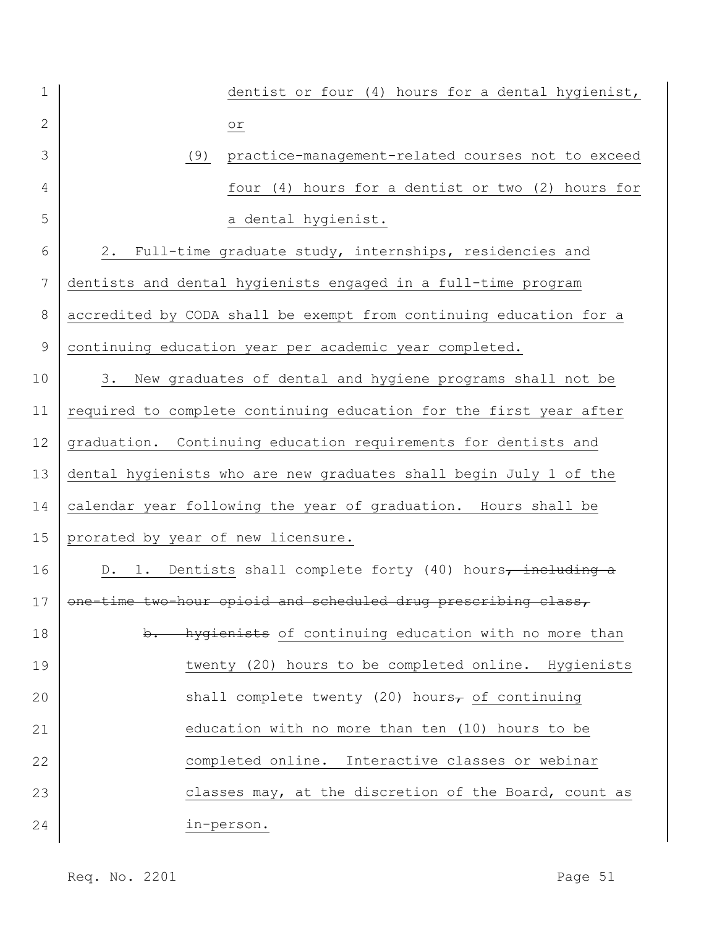| $\mathbf 1$ |                                    | dentist or four (4) hours for a dental hygienist,                   |
|-------------|------------------------------------|---------------------------------------------------------------------|
| 2           |                                    | $\overline{\circ}$                                                  |
| 3           | (9)                                | practice-management-related courses not to exceed                   |
| 4           |                                    | four (4) hours for a dentist or two (2) hours for                   |
| 5           |                                    | a dental hygienist.                                                 |
| 6           | 2.                                 | Full-time graduate study, internships, residencies and              |
| 7           |                                    | dentists and dental hygienists engaged in a full-time program       |
| $8\,$       |                                    | accredited by CODA shall be exempt from continuing education for a  |
| 9           |                                    | continuing education year per academic year completed.              |
| 10          | 3.                                 | New graduates of dental and hygiene programs shall not be           |
| 11          |                                    | required to complete continuing education for the first year after  |
| 12          |                                    | graduation. Continuing education requirements for dentists and      |
| 13          |                                    | dental hygienists who are new graduates shall begin July 1 of the   |
| 14          |                                    | calendar year following the year of graduation. Hours shall be      |
| 15          | prorated by year of new licensure. |                                                                     |
| 16          | D. 1.                              | Dentists shall complete forty (40) hours, including a               |
|             |                                    | 17   one-time two-hour opioid and scheduled drug prescribing class, |
| 18          | $\mathbf{b}$ .                     | hygienists of continuing education with no more than                |
| 19          |                                    | twenty (20) hours to be completed online. Hygienists                |
| 20          |                                    | shall complete twenty (20) hours <sub>7</sub> of continuing         |
| 21          |                                    | education with no more than ten (10) hours to be                    |
| 22          |                                    | completed online. Interactive classes or webinar                    |
| 23          |                                    | classes may, at the discretion of the Board, count as               |
| 24          |                                    | in-person.                                                          |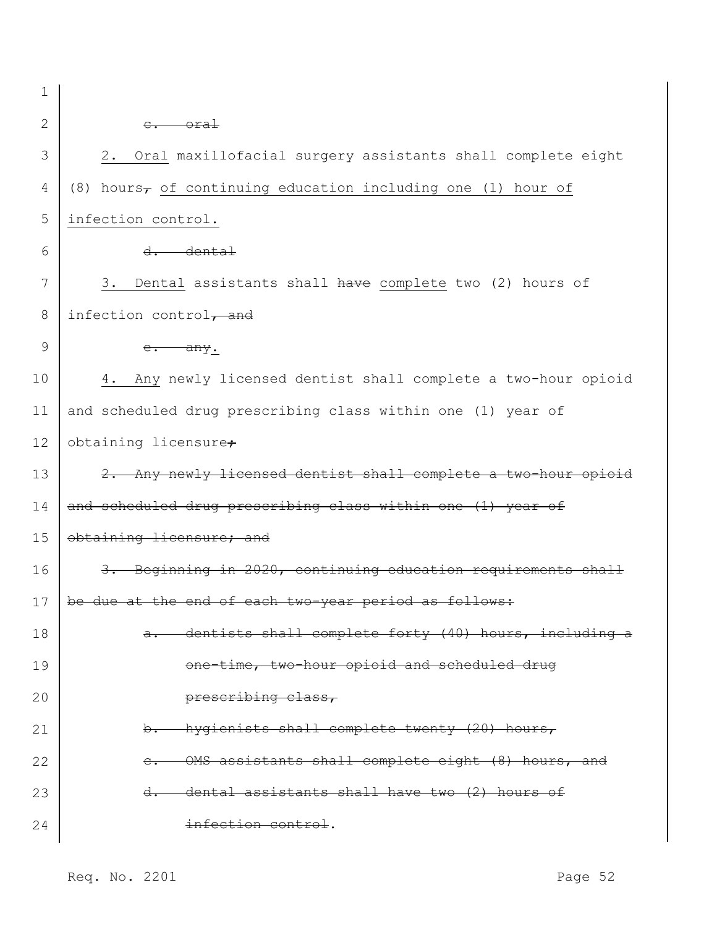1 2

## c. oral

| 3  | Oral maxillofacial surgery assistants shall complete eight<br>2.         |  |  |
|----|--------------------------------------------------------------------------|--|--|
| 4  | (8) hours <sub>7</sub> of continuing education including one (1) hour of |  |  |
| 5  | infection control.                                                       |  |  |
| 6  | $d.$ dental                                                              |  |  |
| 7  | Dental assistants shall have complete two (2) hours of<br>3.             |  |  |
| 8  | infection control $\tau$ and                                             |  |  |
| 9  | e. any.                                                                  |  |  |
| 10 | Any newly licensed dentist shall complete a two-hour opioid<br>4.        |  |  |
| 11 | and scheduled drug prescribing class within one (1) year of              |  |  |
| 12 | obtaining licensure <sub>+</sub>                                         |  |  |
| 13 | 2. Any newly licensed dentist shall complete a two-hour opioid           |  |  |
| 14 | and scheduled drug prescribing class within one (1) year of              |  |  |
| 15 | obtaining licensure; and                                                 |  |  |
| 16 | 3. Beginning in 2020, continuing education requirements shall            |  |  |
| 17 | be due at the end of each two-year period as follows:                    |  |  |
| 18 | dentists shall complete forty (40) hours, including a<br><del>a.</del>   |  |  |
| 19 | one-time, two-hour opioid and scheduled drug                             |  |  |
| 20 | prescribing class,                                                       |  |  |
| 21 | b. hygienists shall complete twenty (20) hours,                          |  |  |
| 22 | OMS assistants shall complete eight (8) hours, and                       |  |  |
| 23 | dental assistants shall have two (2) hours of<br><del>d.</del>           |  |  |
| 24 | infection control.                                                       |  |  |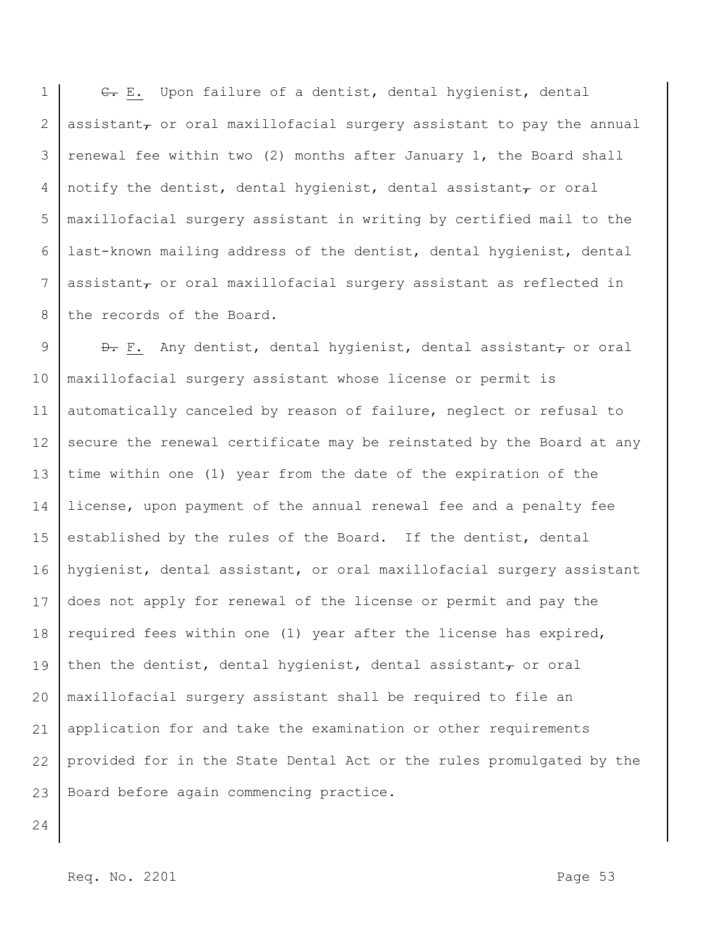1 2 3 4 5 6 7 8 C. E. Upon failure of a dentist, dental hygienist, dental assistant $_{\tau}$  or oral maxillofacial surgery assistant to pay the annual renewal fee within two (2) months after January 1, the Board shall notify the dentist, dental hygienist, dental assistant $_{\mathcal{T}}$  or oral maxillofacial surgery assistant in writing by certified mail to the last-known mailing address of the dentist, dental hygienist, dental assistant $_{\tau}$  or oral maxillofacial surgery assistant as reflected in the records of the Board.

9 10 11 12 13 14 15 16 17 18 19 20 21 22 23  $\theta$ . F. Any dentist, dental hygienist, dental assistant, or oral maxillofacial surgery assistant whose license or permit is automatically canceled by reason of failure, neglect or refusal to secure the renewal certificate may be reinstated by the Board at any time within one (1) year from the date of the expiration of the license, upon payment of the annual renewal fee and a penalty fee established by the rules of the Board. If the dentist, dental hygienist, dental assistant, or oral maxillofacial surgery assistant does not apply for renewal of the license or permit and pay the required fees within one (1) year after the license has expired, then the dentist, dental hygienist, dental assistant $_7$  or oral maxillofacial surgery assistant shall be required to file an application for and take the examination or other requirements provided for in the State Dental Act or the rules promulgated by the Board before again commencing practice.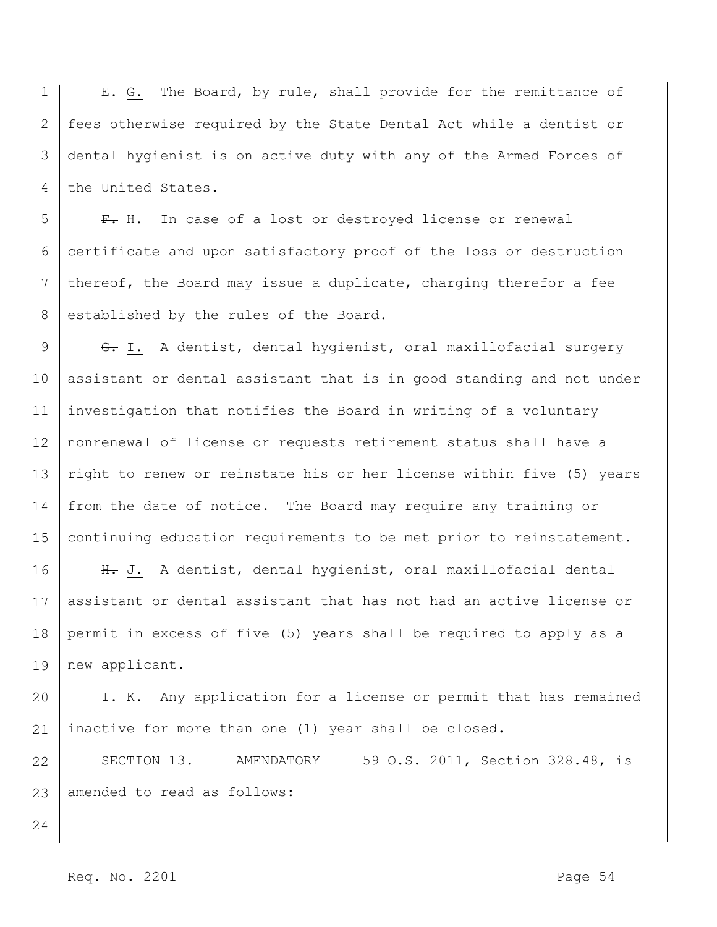1 2 3 4 E. G. The Board, by rule, shall provide for the remittance of fees otherwise required by the State Dental Act while a dentist or dental hygienist is on active duty with any of the Armed Forces of the United States.

5 6 7 8 F. H. In case of a lost or destroyed license or renewal certificate and upon satisfactory proof of the loss or destruction thereof, the Board may issue a duplicate, charging therefor a fee established by the rules of the Board.

9 10 11 12 13 14 15 G. I. A dentist, dental hygienist, oral maxillofacial surgery assistant or dental assistant that is in good standing and not under investigation that notifies the Board in writing of a voluntary nonrenewal of license or requests retirement status shall have a right to renew or reinstate his or her license within five (5) years from the date of notice. The Board may require any training or continuing education requirements to be met prior to reinstatement.

16 17 18 19 H. J. A dentist, dental hygienist, oral maxillofacial dental assistant or dental assistant that has not had an active license or permit in excess of five (5) years shall be required to apply as a new applicant.

20 21 I. K. Any application for a license or permit that has remained inactive for more than one (1) year shall be closed.

22 23 SECTION 13. AMENDATORY 59 O.S. 2011, Section 328.48, is amended to read as follows:

24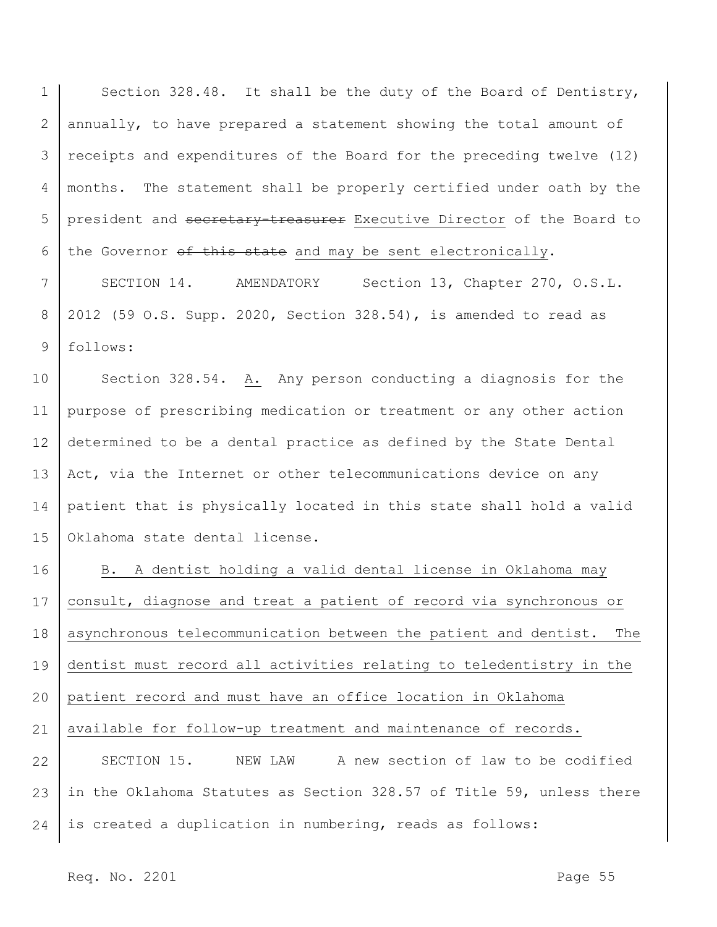1 2 3 4 5 6 Section 328.48. It shall be the duty of the Board of Dentistry, annually, to have prepared a statement showing the total amount of receipts and expenditures of the Board for the preceding twelve (12) months. The statement shall be properly certified under oath by the president and secretary-treasurer Executive Director of the Board to the Governor of this state and may be sent electronically.

7 8 9 SECTION 14. AMENDATORY Section 13, Chapter 270, O.S.L. 2012 (59 O.S. Supp. 2020, Section 328.54), is amended to read as follows:

10 11 12 13 14 15 Section 328.54. A. Any person conducting a diagnosis for the purpose of prescribing medication or treatment or any other action determined to be a dental practice as defined by the State Dental Act, via the Internet or other telecommunications device on any patient that is physically located in this state shall hold a valid Oklahoma state dental license.

16 17 18 19 20 21 22 23 B. A dentist holding a valid dental license in Oklahoma may consult, diagnose and treat a patient of record via synchronous or asynchronous telecommunication between the patient and dentist. The dentist must record all activities relating to teledentistry in the patient record and must have an office location in Oklahoma available for follow-up treatment and maintenance of records. SECTION 15. NEW LAW A new section of law to be codified in the Oklahoma Statutes as Section 328.57 of Title 59, unless there

24 is created a duplication in numbering, reads as follows: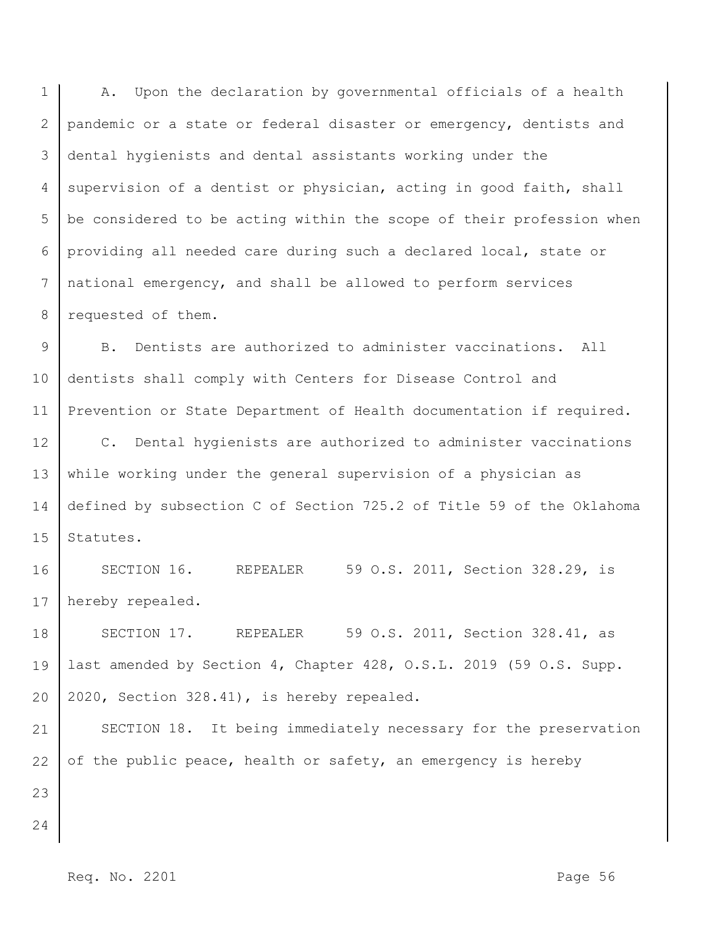1 2 3 4 5 6 7 8 A. Upon the declaration by governmental officials of a health pandemic or a state or federal disaster or emergency, dentists and dental hygienists and dental assistants working under the supervision of a dentist or physician, acting in good faith, shall be considered to be acting within the scope of their profession when providing all needed care during such a declared local, state or national emergency, and shall be allowed to perform services requested of them.

9 10 11 B. Dentists are authorized to administer vaccinations. All dentists shall comply with Centers for Disease Control and Prevention or State Department of Health documentation if required.

12 13 14 15 C. Dental hygienists are authorized to administer vaccinations while working under the general supervision of a physician as defined by subsection C of Section 725.2 of Title 59 of the Oklahoma Statutes.

16 17 SECTION 16. REPEALER 59 O.S. 2011, Section 328.29, is hereby repealed.

18 19 20 SECTION 17. REPEALER 59 O.S. 2011, Section 328.41, as last amended by Section 4, Chapter 428, O.S.L. 2019 (59 O.S. Supp. 2020, Section 328.41), is hereby repealed.

21 22 23 SECTION 18. It being immediately necessary for the preservation of the public peace, health or safety, an emergency is hereby